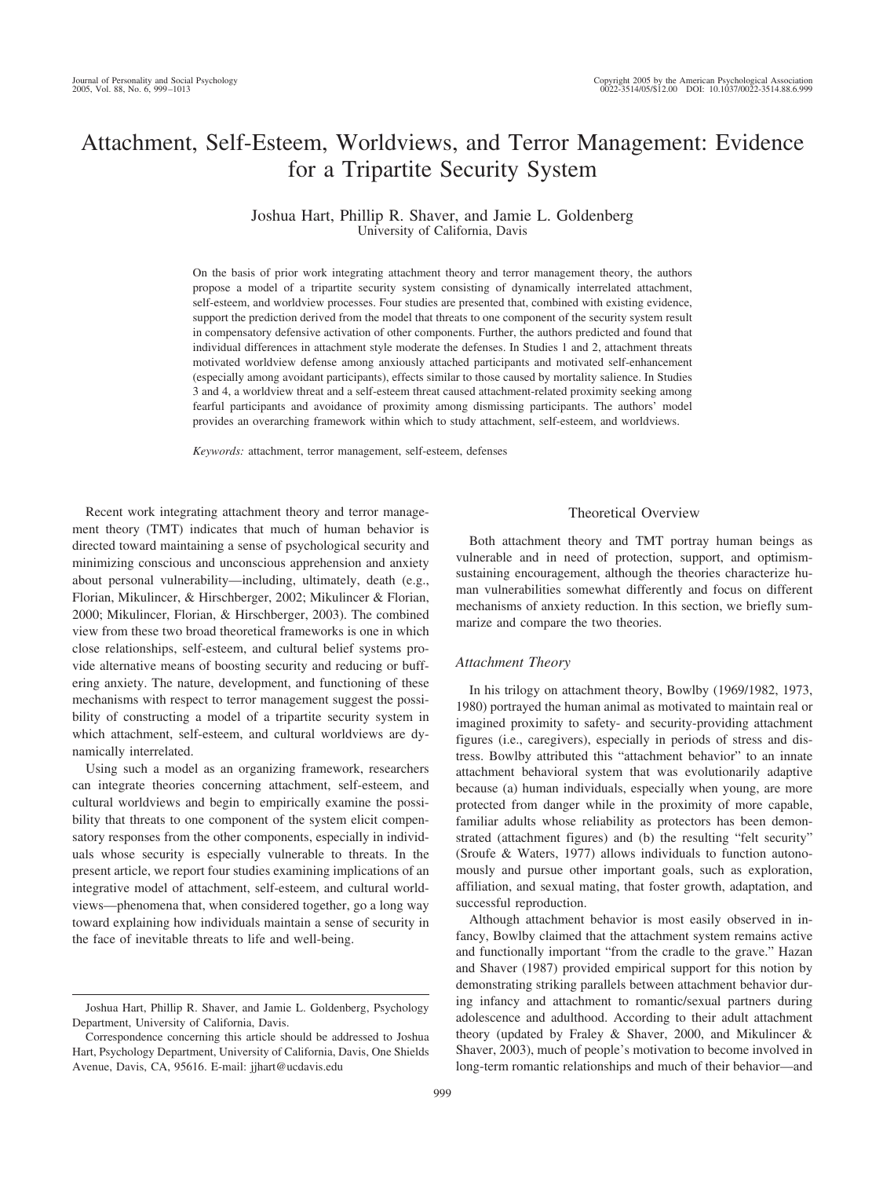# Attachment, Self-Esteem, Worldviews, and Terror Management: Evidence for a Tripartite Security System

## Joshua Hart, Phillip R. Shaver, and Jamie L. Goldenberg University of California, Davis

On the basis of prior work integrating attachment theory and terror management theory, the authors propose a model of a tripartite security system consisting of dynamically interrelated attachment, self-esteem, and worldview processes. Four studies are presented that, combined with existing evidence, support the prediction derived from the model that threats to one component of the security system result in compensatory defensive activation of other components. Further, the authors predicted and found that individual differences in attachment style moderate the defenses. In Studies 1 and 2, attachment threats motivated worldview defense among anxiously attached participants and motivated self-enhancement (especially among avoidant participants), effects similar to those caused by mortality salience. In Studies 3 and 4, a worldview threat and a self-esteem threat caused attachment-related proximity seeking among fearful participants and avoidance of proximity among dismissing participants. The authors' model provides an overarching framework within which to study attachment, self-esteem, and worldviews.

*Keywords:* attachment, terror management, self-esteem, defenses

Recent work integrating attachment theory and terror management theory (TMT) indicates that much of human behavior is directed toward maintaining a sense of psychological security and minimizing conscious and unconscious apprehension and anxiety about personal vulnerability—including, ultimately, death (e.g., Florian, Mikulincer, & Hirschberger, 2002; Mikulincer & Florian, 2000; Mikulincer, Florian, & Hirschberger, 2003). The combined view from these two broad theoretical frameworks is one in which close relationships, self-esteem, and cultural belief systems provide alternative means of boosting security and reducing or buffering anxiety. The nature, development, and functioning of these mechanisms with respect to terror management suggest the possibility of constructing a model of a tripartite security system in which attachment, self-esteem, and cultural worldviews are dynamically interrelated.

Using such a model as an organizing framework, researchers can integrate theories concerning attachment, self-esteem, and cultural worldviews and begin to empirically examine the possibility that threats to one component of the system elicit compensatory responses from the other components, especially in individuals whose security is especially vulnerable to threats. In the present article, we report four studies examining implications of an integrative model of attachment, self-esteem, and cultural worldviews—phenomena that, when considered together, go a long way toward explaining how individuals maintain a sense of security in the face of inevitable threats to life and well-being.

### Theoretical Overview

Both attachment theory and TMT portray human beings as vulnerable and in need of protection, support, and optimismsustaining encouragement, although the theories characterize human vulnerabilities somewhat differently and focus on different mechanisms of anxiety reduction. In this section, we briefly summarize and compare the two theories.

#### *Attachment Theory*

In his trilogy on attachment theory, Bowlby (1969/1982, 1973, 1980) portrayed the human animal as motivated to maintain real or imagined proximity to safety- and security-providing attachment figures (i.e., caregivers), especially in periods of stress and distress. Bowlby attributed this "attachment behavior" to an innate attachment behavioral system that was evolutionarily adaptive because (a) human individuals, especially when young, are more protected from danger while in the proximity of more capable, familiar adults whose reliability as protectors has been demonstrated (attachment figures) and (b) the resulting "felt security" (Sroufe & Waters, 1977) allows individuals to function autonomously and pursue other important goals, such as exploration, affiliation, and sexual mating, that foster growth, adaptation, and successful reproduction.

Although attachment behavior is most easily observed in infancy, Bowlby claimed that the attachment system remains active and functionally important "from the cradle to the grave." Hazan and Shaver (1987) provided empirical support for this notion by demonstrating striking parallels between attachment behavior during infancy and attachment to romantic/sexual partners during adolescence and adulthood. According to their adult attachment theory (updated by Fraley & Shaver, 2000, and Mikulincer & Shaver, 2003), much of people's motivation to become involved in long-term romantic relationships and much of their behavior—and

Joshua Hart, Phillip R. Shaver, and Jamie L. Goldenberg, Psychology Department, University of California, Davis.

Correspondence concerning this article should be addressed to Joshua Hart, Psychology Department, University of California, Davis, One Shields Avenue, Davis, CA, 95616. E-mail: jjhart@ucdavis.edu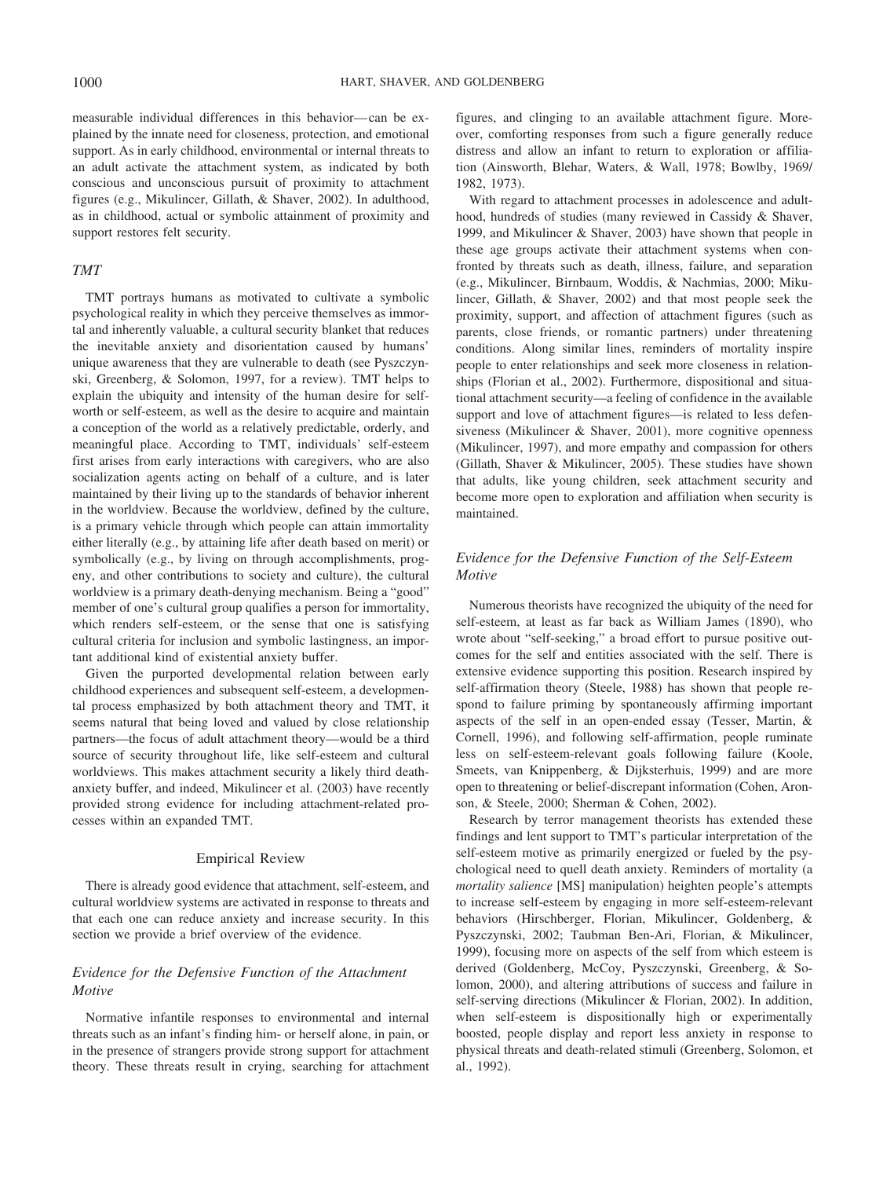measurable individual differences in this behavior— can be explained by the innate need for closeness, protection, and emotional support. As in early childhood, environmental or internal threats to an adult activate the attachment system, as indicated by both conscious and unconscious pursuit of proximity to attachment figures (e.g., Mikulincer, Gillath, & Shaver, 2002). In adulthood, as in childhood, actual or symbolic attainment of proximity and support restores felt security.

## *TMT*

TMT portrays humans as motivated to cultivate a symbolic psychological reality in which they perceive themselves as immortal and inherently valuable, a cultural security blanket that reduces the inevitable anxiety and disorientation caused by humans' unique awareness that they are vulnerable to death (see Pyszczynski, Greenberg, & Solomon, 1997, for a review). TMT helps to explain the ubiquity and intensity of the human desire for selfworth or self-esteem, as well as the desire to acquire and maintain a conception of the world as a relatively predictable, orderly, and meaningful place. According to TMT, individuals' self-esteem first arises from early interactions with caregivers, who are also socialization agents acting on behalf of a culture, and is later maintained by their living up to the standards of behavior inherent in the worldview. Because the worldview, defined by the culture, is a primary vehicle through which people can attain immortality either literally (e.g., by attaining life after death based on merit) or symbolically (e.g., by living on through accomplishments, progeny, and other contributions to society and culture), the cultural worldview is a primary death-denying mechanism. Being a "good" member of one's cultural group qualifies a person for immortality, which renders self-esteem, or the sense that one is satisfying cultural criteria for inclusion and symbolic lastingness, an important additional kind of existential anxiety buffer.

Given the purported developmental relation between early childhood experiences and subsequent self-esteem, a developmental process emphasized by both attachment theory and TMT, it seems natural that being loved and valued by close relationship partners—the focus of adult attachment theory—would be a third source of security throughout life, like self-esteem and cultural worldviews. This makes attachment security a likely third deathanxiety buffer, and indeed, Mikulincer et al. (2003) have recently provided strong evidence for including attachment-related processes within an expanded TMT.

#### Empirical Review

There is already good evidence that attachment, self-esteem, and cultural worldview systems are activated in response to threats and that each one can reduce anxiety and increase security. In this section we provide a brief overview of the evidence.

# *Evidence for the Defensive Function of the Attachment Motive*

Normative infantile responses to environmental and internal threats such as an infant's finding him- or herself alone, in pain, or in the presence of strangers provide strong support for attachment theory. These threats result in crying, searching for attachment figures, and clinging to an available attachment figure. Moreover, comforting responses from such a figure generally reduce distress and allow an infant to return to exploration or affiliation (Ainsworth, Blehar, Waters, & Wall, 1978; Bowlby, 1969/ 1982, 1973).

With regard to attachment processes in adolescence and adulthood, hundreds of studies (many reviewed in Cassidy & Shaver, 1999, and Mikulincer & Shaver, 2003) have shown that people in these age groups activate their attachment systems when confronted by threats such as death, illness, failure, and separation (e.g., Mikulincer, Birnbaum, Woddis, & Nachmias, 2000; Mikulincer, Gillath, & Shaver, 2002) and that most people seek the proximity, support, and affection of attachment figures (such as parents, close friends, or romantic partners) under threatening conditions. Along similar lines, reminders of mortality inspire people to enter relationships and seek more closeness in relationships (Florian et al., 2002). Furthermore, dispositional and situational attachment security—a feeling of confidence in the available support and love of attachment figures—is related to less defensiveness (Mikulincer & Shaver, 2001), more cognitive openness (Mikulincer, 1997), and more empathy and compassion for others (Gillath, Shaver & Mikulincer, 2005). These studies have shown that adults, like young children, seek attachment security and become more open to exploration and affiliation when security is maintained.

# *Evidence for the Defensive Function of the Self-Esteem Motive*

Numerous theorists have recognized the ubiquity of the need for self-esteem, at least as far back as William James (1890), who wrote about "self-seeking," a broad effort to pursue positive outcomes for the self and entities associated with the self. There is extensive evidence supporting this position. Research inspired by self-affirmation theory (Steele, 1988) has shown that people respond to failure priming by spontaneously affirming important aspects of the self in an open-ended essay (Tesser, Martin, & Cornell, 1996), and following self-affirmation, people ruminate less on self-esteem-relevant goals following failure (Koole, Smeets, van Knippenberg, & Dijksterhuis, 1999) and are more open to threatening or belief-discrepant information (Cohen, Aronson, & Steele, 2000; Sherman & Cohen, 2002).

Research by terror management theorists has extended these findings and lent support to TMT's particular interpretation of the self-esteem motive as primarily energized or fueled by the psychological need to quell death anxiety. Reminders of mortality (a *mortality salience* [MS] manipulation) heighten people's attempts to increase self-esteem by engaging in more self-esteem-relevant behaviors (Hirschberger, Florian, Mikulincer, Goldenberg, & Pyszczynski, 2002; Taubman Ben-Ari, Florian, & Mikulincer, 1999), focusing more on aspects of the self from which esteem is derived (Goldenberg, McCoy, Pyszczynski, Greenberg, & Solomon, 2000), and altering attributions of success and failure in self-serving directions (Mikulincer & Florian, 2002). In addition, when self-esteem is dispositionally high or experimentally boosted, people display and report less anxiety in response to physical threats and death-related stimuli (Greenberg, Solomon, et al., 1992).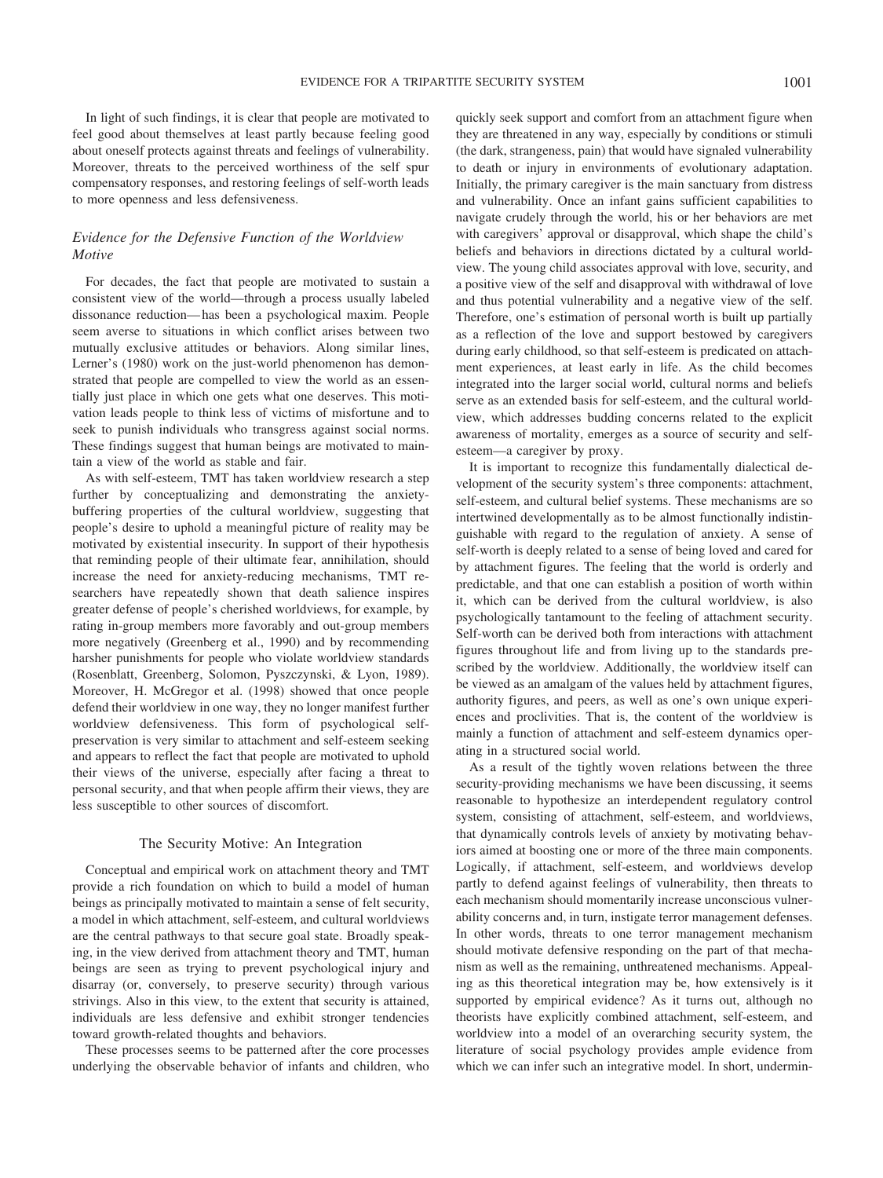In light of such findings, it is clear that people are motivated to feel good about themselves at least partly because feeling good about oneself protects against threats and feelings of vulnerability. Moreover, threats to the perceived worthiness of the self spur compensatory responses, and restoring feelings of self-worth leads to more openness and less defensiveness.

# *Evidence for the Defensive Function of the Worldview Motive*

For decades, the fact that people are motivated to sustain a consistent view of the world—through a process usually labeled dissonance reduction— has been a psychological maxim. People seem averse to situations in which conflict arises between two mutually exclusive attitudes or behaviors. Along similar lines, Lerner's (1980) work on the just-world phenomenon has demonstrated that people are compelled to view the world as an essentially just place in which one gets what one deserves. This motivation leads people to think less of victims of misfortune and to seek to punish individuals who transgress against social norms. These findings suggest that human beings are motivated to maintain a view of the world as stable and fair.

As with self-esteem, TMT has taken worldview research a step further by conceptualizing and demonstrating the anxietybuffering properties of the cultural worldview, suggesting that people's desire to uphold a meaningful picture of reality may be motivated by existential insecurity. In support of their hypothesis that reminding people of their ultimate fear, annihilation, should increase the need for anxiety-reducing mechanisms, TMT researchers have repeatedly shown that death salience inspires greater defense of people's cherished worldviews, for example, by rating in-group members more favorably and out-group members more negatively (Greenberg et al., 1990) and by recommending harsher punishments for people who violate worldview standards (Rosenblatt, Greenberg, Solomon, Pyszczynski, & Lyon, 1989). Moreover, H. McGregor et al. (1998) showed that once people defend their worldview in one way, they no longer manifest further worldview defensiveness. This form of psychological selfpreservation is very similar to attachment and self-esteem seeking and appears to reflect the fact that people are motivated to uphold their views of the universe, especially after facing a threat to personal security, and that when people affirm their views, they are less susceptible to other sources of discomfort.

#### The Security Motive: An Integration

Conceptual and empirical work on attachment theory and TMT provide a rich foundation on which to build a model of human beings as principally motivated to maintain a sense of felt security, a model in which attachment, self-esteem, and cultural worldviews are the central pathways to that secure goal state. Broadly speaking, in the view derived from attachment theory and TMT, human beings are seen as trying to prevent psychological injury and disarray (or, conversely, to preserve security) through various strivings. Also in this view, to the extent that security is attained, individuals are less defensive and exhibit stronger tendencies toward growth-related thoughts and behaviors.

These processes seems to be patterned after the core processes underlying the observable behavior of infants and children, who quickly seek support and comfort from an attachment figure when they are threatened in any way, especially by conditions or stimuli (the dark, strangeness, pain) that would have signaled vulnerability to death or injury in environments of evolutionary adaptation. Initially, the primary caregiver is the main sanctuary from distress and vulnerability. Once an infant gains sufficient capabilities to navigate crudely through the world, his or her behaviors are met with caregivers' approval or disapproval, which shape the child's beliefs and behaviors in directions dictated by a cultural worldview. The young child associates approval with love, security, and a positive view of the self and disapproval with withdrawal of love and thus potential vulnerability and a negative view of the self. Therefore, one's estimation of personal worth is built up partially as a reflection of the love and support bestowed by caregivers during early childhood, so that self-esteem is predicated on attachment experiences, at least early in life. As the child becomes integrated into the larger social world, cultural norms and beliefs serve as an extended basis for self-esteem, and the cultural worldview, which addresses budding concerns related to the explicit awareness of mortality, emerges as a source of security and selfesteem—a caregiver by proxy.

It is important to recognize this fundamentally dialectical development of the security system's three components: attachment, self-esteem, and cultural belief systems. These mechanisms are so intertwined developmentally as to be almost functionally indistinguishable with regard to the regulation of anxiety. A sense of self-worth is deeply related to a sense of being loved and cared for by attachment figures. The feeling that the world is orderly and predictable, and that one can establish a position of worth within it, which can be derived from the cultural worldview, is also psychologically tantamount to the feeling of attachment security. Self-worth can be derived both from interactions with attachment figures throughout life and from living up to the standards prescribed by the worldview. Additionally, the worldview itself can be viewed as an amalgam of the values held by attachment figures, authority figures, and peers, as well as one's own unique experiences and proclivities. That is, the content of the worldview is mainly a function of attachment and self-esteem dynamics operating in a structured social world.

As a result of the tightly woven relations between the three security-providing mechanisms we have been discussing, it seems reasonable to hypothesize an interdependent regulatory control system, consisting of attachment, self-esteem, and worldviews, that dynamically controls levels of anxiety by motivating behaviors aimed at boosting one or more of the three main components. Logically, if attachment, self-esteem, and worldviews develop partly to defend against feelings of vulnerability, then threats to each mechanism should momentarily increase unconscious vulnerability concerns and, in turn, instigate terror management defenses. In other words, threats to one terror management mechanism should motivate defensive responding on the part of that mechanism as well as the remaining, unthreatened mechanisms. Appealing as this theoretical integration may be, how extensively is it supported by empirical evidence? As it turns out, although no theorists have explicitly combined attachment, self-esteem, and worldview into a model of an overarching security system, the literature of social psychology provides ample evidence from which we can infer such an integrative model. In short, undermin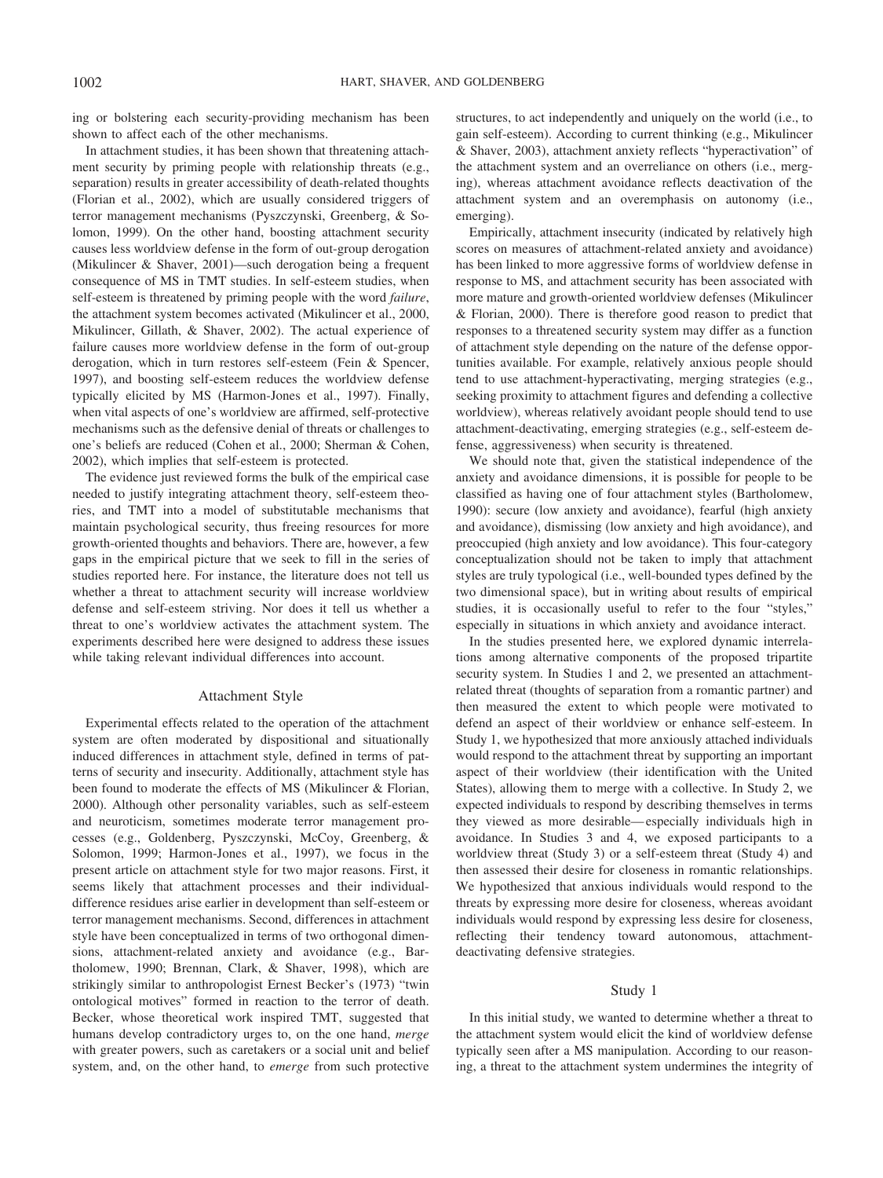ing or bolstering each security-providing mechanism has been shown to affect each of the other mechanisms.

In attachment studies, it has been shown that threatening attachment security by priming people with relationship threats (e.g., separation) results in greater accessibility of death-related thoughts (Florian et al., 2002), which are usually considered triggers of terror management mechanisms (Pyszczynski, Greenberg, & Solomon, 1999). On the other hand, boosting attachment security causes less worldview defense in the form of out-group derogation (Mikulincer & Shaver, 2001)—such derogation being a frequent consequence of MS in TMT studies. In self-esteem studies, when self-esteem is threatened by priming people with the word *failure*, the attachment system becomes activated (Mikulincer et al., 2000, Mikulincer, Gillath, & Shaver, 2002). The actual experience of failure causes more worldview defense in the form of out-group derogation, which in turn restores self-esteem (Fein & Spencer, 1997), and boosting self-esteem reduces the worldview defense typically elicited by MS (Harmon-Jones et al., 1997). Finally, when vital aspects of one's worldview are affirmed, self-protective mechanisms such as the defensive denial of threats or challenges to one's beliefs are reduced (Cohen et al., 2000; Sherman & Cohen, 2002), which implies that self-esteem is protected.

The evidence just reviewed forms the bulk of the empirical case needed to justify integrating attachment theory, self-esteem theories, and TMT into a model of substitutable mechanisms that maintain psychological security, thus freeing resources for more growth-oriented thoughts and behaviors. There are, however, a few gaps in the empirical picture that we seek to fill in the series of studies reported here. For instance, the literature does not tell us whether a threat to attachment security will increase worldview defense and self-esteem striving. Nor does it tell us whether a threat to one's worldview activates the attachment system. The experiments described here were designed to address these issues while taking relevant individual differences into account.

#### Attachment Style

Experimental effects related to the operation of the attachment system are often moderated by dispositional and situationally induced differences in attachment style, defined in terms of patterns of security and insecurity. Additionally, attachment style has been found to moderate the effects of MS (Mikulincer & Florian, 2000). Although other personality variables, such as self-esteem and neuroticism, sometimes moderate terror management processes (e.g., Goldenberg, Pyszczynski, McCoy, Greenberg, & Solomon, 1999; Harmon-Jones et al., 1997), we focus in the present article on attachment style for two major reasons. First, it seems likely that attachment processes and their individualdifference residues arise earlier in development than self-esteem or terror management mechanisms. Second, differences in attachment style have been conceptualized in terms of two orthogonal dimensions, attachment-related anxiety and avoidance (e.g., Bartholomew, 1990; Brennan, Clark, & Shaver, 1998), which are strikingly similar to anthropologist Ernest Becker's (1973) "twin ontological motives" formed in reaction to the terror of death. Becker, whose theoretical work inspired TMT, suggested that humans develop contradictory urges to, on the one hand, *merge* with greater powers, such as caretakers or a social unit and belief system, and, on the other hand, to *emerge* from such protective

structures, to act independently and uniquely on the world (i.e., to gain self-esteem). According to current thinking (e.g., Mikulincer & Shaver, 2003), attachment anxiety reflects "hyperactivation" of the attachment system and an overreliance on others (i.e., merging), whereas attachment avoidance reflects deactivation of the attachment system and an overemphasis on autonomy (i.e., emerging).

Empirically, attachment insecurity (indicated by relatively high scores on measures of attachment-related anxiety and avoidance) has been linked to more aggressive forms of worldview defense in response to MS, and attachment security has been associated with more mature and growth-oriented worldview defenses (Mikulincer & Florian, 2000). There is therefore good reason to predict that responses to a threatened security system may differ as a function of attachment style depending on the nature of the defense opportunities available. For example, relatively anxious people should tend to use attachment-hyperactivating, merging strategies (e.g., seeking proximity to attachment figures and defending a collective worldview), whereas relatively avoidant people should tend to use attachment-deactivating, emerging strategies (e.g., self-esteem defense, aggressiveness) when security is threatened.

We should note that, given the statistical independence of the anxiety and avoidance dimensions, it is possible for people to be classified as having one of four attachment styles (Bartholomew, 1990): secure (low anxiety and avoidance), fearful (high anxiety and avoidance), dismissing (low anxiety and high avoidance), and preoccupied (high anxiety and low avoidance). This four-category conceptualization should not be taken to imply that attachment styles are truly typological (i.e., well-bounded types defined by the two dimensional space), but in writing about results of empirical studies, it is occasionally useful to refer to the four "styles," especially in situations in which anxiety and avoidance interact.

In the studies presented here, we explored dynamic interrelations among alternative components of the proposed tripartite security system. In Studies 1 and 2, we presented an attachmentrelated threat (thoughts of separation from a romantic partner) and then measured the extent to which people were motivated to defend an aspect of their worldview or enhance self-esteem. In Study 1, we hypothesized that more anxiously attached individuals would respond to the attachment threat by supporting an important aspect of their worldview (their identification with the United States), allowing them to merge with a collective. In Study 2, we expected individuals to respond by describing themselves in terms they viewed as more desirable— especially individuals high in avoidance. In Studies 3 and 4, we exposed participants to a worldview threat (Study 3) or a self-esteem threat (Study 4) and then assessed their desire for closeness in romantic relationships. We hypothesized that anxious individuals would respond to the threats by expressing more desire for closeness, whereas avoidant individuals would respond by expressing less desire for closeness, reflecting their tendency toward autonomous, attachmentdeactivating defensive strategies.

#### Study 1

In this initial study, we wanted to determine whether a threat to the attachment system would elicit the kind of worldview defense typically seen after a MS manipulation. According to our reasoning, a threat to the attachment system undermines the integrity of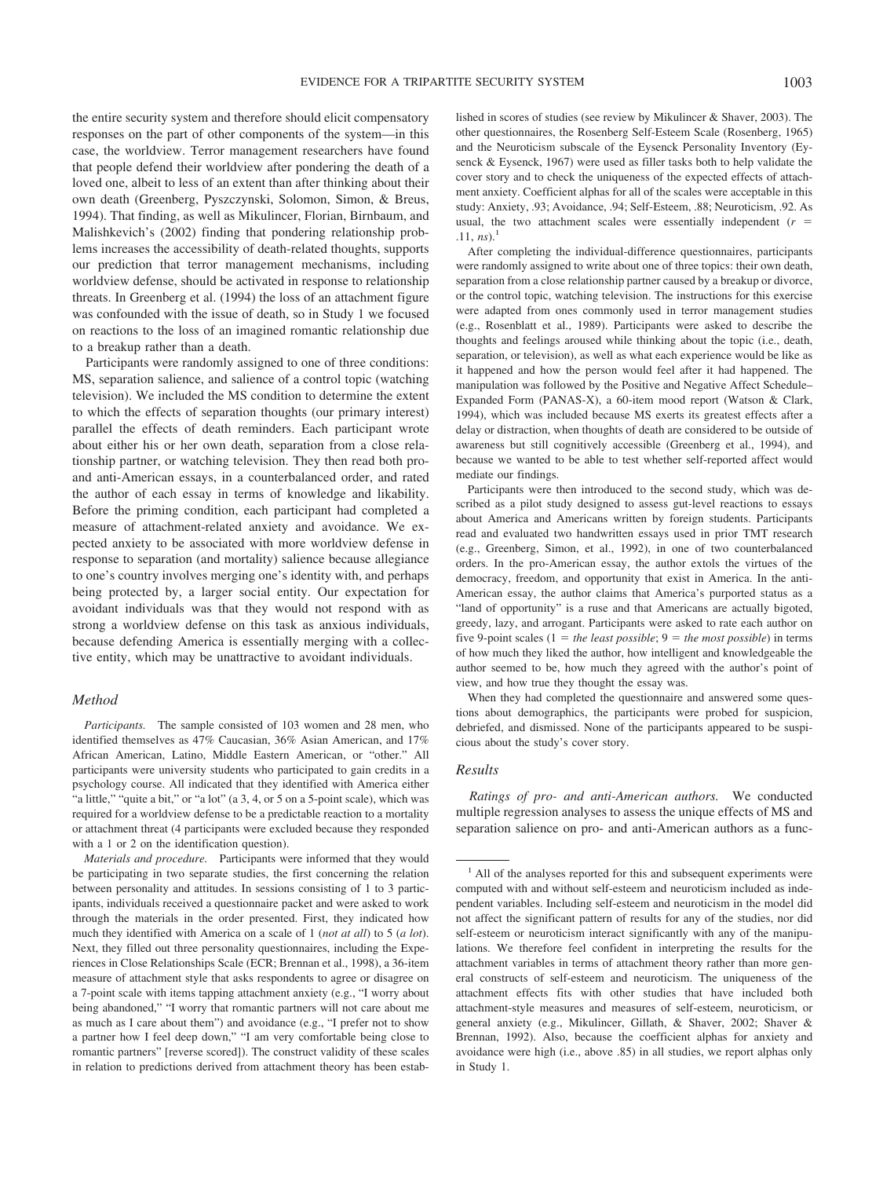the entire security system and therefore should elicit compensatory responses on the part of other components of the system—in this case, the worldview. Terror management researchers have found that people defend their worldview after pondering the death of a loved one, albeit to less of an extent than after thinking about their own death (Greenberg, Pyszczynski, Solomon, Simon, & Breus, 1994). That finding, as well as Mikulincer, Florian, Birnbaum, and Malishkevich's (2002) finding that pondering relationship problems increases the accessibility of death-related thoughts, supports our prediction that terror management mechanisms, including worldview defense, should be activated in response to relationship threats. In Greenberg et al. (1994) the loss of an attachment figure was confounded with the issue of death, so in Study 1 we focused on reactions to the loss of an imagined romantic relationship due to a breakup rather than a death.

Participants were randomly assigned to one of three conditions: MS, separation salience, and salience of a control topic (watching television). We included the MS condition to determine the extent to which the effects of separation thoughts (our primary interest) parallel the effects of death reminders. Each participant wrote about either his or her own death, separation from a close relationship partner, or watching television. They then read both proand anti-American essays, in a counterbalanced order, and rated the author of each essay in terms of knowledge and likability. Before the priming condition, each participant had completed a measure of attachment-related anxiety and avoidance. We expected anxiety to be associated with more worldview defense in response to separation (and mortality) salience because allegiance to one's country involves merging one's identity with, and perhaps being protected by, a larger social entity. Our expectation for avoidant individuals was that they would not respond with as strong a worldview defense on this task as anxious individuals, because defending America is essentially merging with a collective entity, which may be unattractive to avoidant individuals.

## *Method*

*Participants.* The sample consisted of 103 women and 28 men, who identified themselves as 47% Caucasian, 36% Asian American, and 17% African American, Latino, Middle Eastern American, or "other." All participants were university students who participated to gain credits in a psychology course. All indicated that they identified with America either "a little," "quite a bit," or "a lot" (a 3, 4, or 5 on a 5-point scale), which was required for a worldview defense to be a predictable reaction to a mortality or attachment threat (4 participants were excluded because they responded with a 1 or 2 on the identification question).

*Materials and procedure.* Participants were informed that they would be participating in two separate studies, the first concerning the relation between personality and attitudes. In sessions consisting of 1 to 3 participants, individuals received a questionnaire packet and were asked to work through the materials in the order presented. First, they indicated how much they identified with America on a scale of 1 (*not at all*) to 5 (*a lot*). Next, they filled out three personality questionnaires, including the Experiences in Close Relationships Scale (ECR; Brennan et al., 1998), a 36-item measure of attachment style that asks respondents to agree or disagree on a 7-point scale with items tapping attachment anxiety (e.g., "I worry about being abandoned," "I worry that romantic partners will not care about me as much as I care about them") and avoidance (e.g., "I prefer not to show a partner how I feel deep down," "I am very comfortable being close to romantic partners" [reverse scored]). The construct validity of these scales in relation to predictions derived from attachment theory has been established in scores of studies (see review by Mikulincer & Shaver, 2003). The other questionnaires, the Rosenberg Self-Esteem Scale (Rosenberg, 1965) and the Neuroticism subscale of the Eysenck Personality Inventory (Eysenck & Eysenck, 1967) were used as filler tasks both to help validate the cover story and to check the uniqueness of the expected effects of attachment anxiety. Coefficient alphas for all of the scales were acceptable in this study: Anxiety, .93; Avoidance, .94; Self-Esteem, .88; Neuroticism, .92. As usual, the two attachment scales were essentially independent  $(r =$  $.11, ns$ <sup>1</sup>

After completing the individual-difference questionnaires, participants were randomly assigned to write about one of three topics: their own death, separation from a close relationship partner caused by a breakup or divorce, or the control topic, watching television. The instructions for this exercise were adapted from ones commonly used in terror management studies (e.g., Rosenblatt et al., 1989). Participants were asked to describe the thoughts and feelings aroused while thinking about the topic (i.e., death, separation, or television), as well as what each experience would be like as it happened and how the person would feel after it had happened. The manipulation was followed by the Positive and Negative Affect Schedule– Expanded Form (PANAS-X), a 60-item mood report (Watson & Clark, 1994), which was included because MS exerts its greatest effects after a delay or distraction, when thoughts of death are considered to be outside of awareness but still cognitively accessible (Greenberg et al., 1994), and because we wanted to be able to test whether self-reported affect would mediate our findings.

Participants were then introduced to the second study, which was described as a pilot study designed to assess gut-level reactions to essays about America and Americans written by foreign students. Participants read and evaluated two handwritten essays used in prior TMT research (e.g., Greenberg, Simon, et al., 1992), in one of two counterbalanced orders. In the pro-American essay, the author extols the virtues of the democracy, freedom, and opportunity that exist in America. In the anti-American essay, the author claims that America's purported status as a "land of opportunity" is a ruse and that Americans are actually bigoted, greedy, lazy, and arrogant. Participants were asked to rate each author on five 9-point scales  $(1 = the least possible; 9 = the most possible)$  in terms of how much they liked the author, how intelligent and knowledgeable the author seemed to be, how much they agreed with the author's point of view, and how true they thought the essay was.

When they had completed the questionnaire and answered some questions about demographics, the participants were probed for suspicion, debriefed, and dismissed. None of the participants appeared to be suspicious about the study's cover story.

## *Results*

*Ratings of pro- and anti-American authors.* We conducted multiple regression analyses to assess the unique effects of MS and separation salience on pro- and anti-American authors as a func-

<sup>&</sup>lt;sup>1</sup> All of the analyses reported for this and subsequent experiments were computed with and without self-esteem and neuroticism included as independent variables. Including self-esteem and neuroticism in the model did not affect the significant pattern of results for any of the studies, nor did self-esteem or neuroticism interact significantly with any of the manipulations. We therefore feel confident in interpreting the results for the attachment variables in terms of attachment theory rather than more general constructs of self-esteem and neuroticism. The uniqueness of the attachment effects fits with other studies that have included both attachment-style measures and measures of self-esteem, neuroticism, or general anxiety (e.g., Mikulincer, Gillath, & Shaver, 2002; Shaver & Brennan, 1992). Also, because the coefficient alphas for anxiety and avoidance were high (i.e., above .85) in all studies, we report alphas only in Study 1.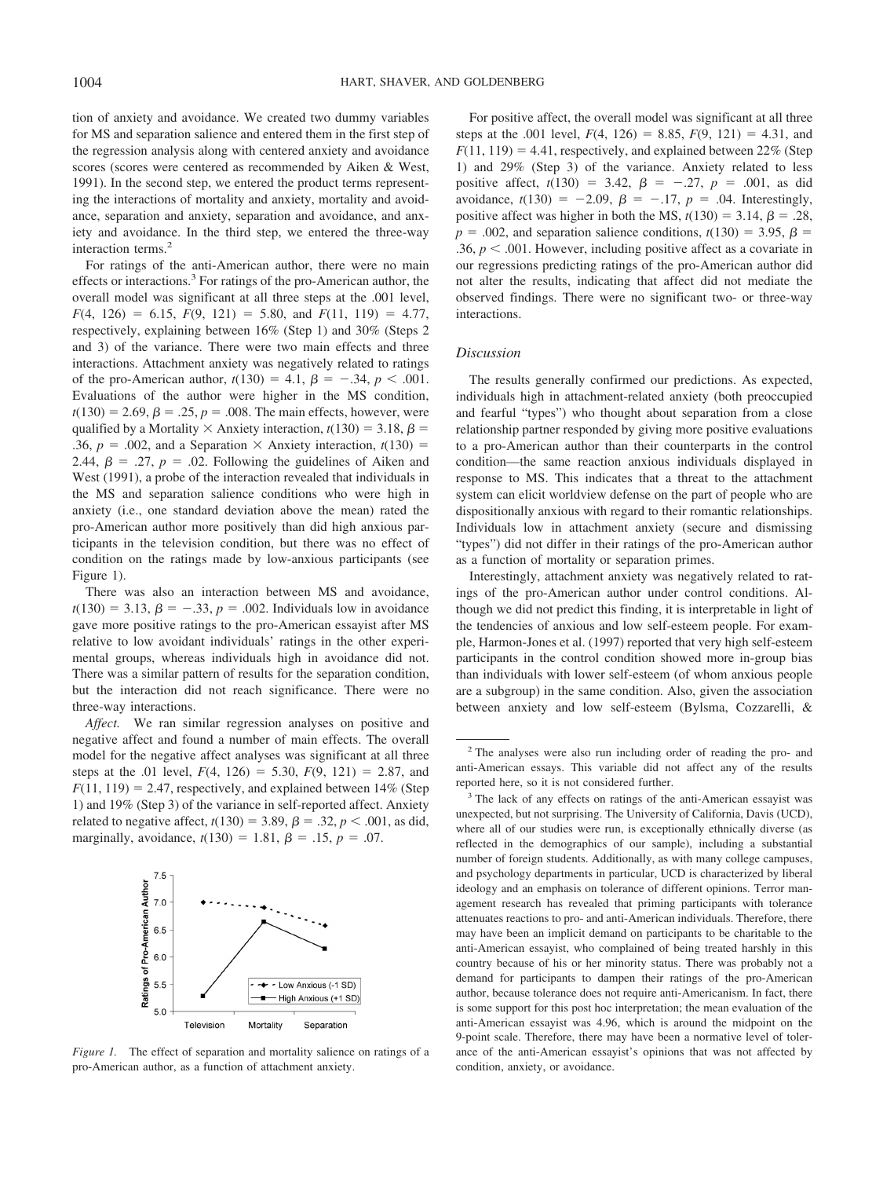tion of anxiety and avoidance. We created two dummy variables for MS and separation salience and entered them in the first step of the regression analysis along with centered anxiety and avoidance scores (scores were centered as recommended by Aiken & West, 1991). In the second step, we entered the product terms representing the interactions of mortality and anxiety, mortality and avoidance, separation and anxiety, separation and avoidance, and anxiety and avoidance. In the third step, we entered the three-way interaction terms.2

For ratings of the anti-American author, there were no main effects or interactions.3 For ratings of the pro-American author, the overall model was significant at all three steps at the .001 level,  $F(4, 126) = 6.15, F(9, 121) = 5.80, \text{ and } F(11, 119) = 4.77,$ respectively, explaining between 16% (Step 1) and 30% (Steps 2 and 3) of the variance. There were two main effects and three interactions. Attachment anxiety was negatively related to ratings of the pro-American author,  $t(130) = 4.1$ ,  $\beta = -.34$ ,  $p < .001$ . Evaluations of the author were higher in the MS condition,  $t(130) = 2.69$ ,  $\beta = .25$ ,  $p = .008$ . The main effects, however, were qualified by a Mortality  $\times$  Anxiety interaction,  $t(130) = 3.18$ ,  $\beta =$ .36,  $p = .002$ , and a Separation  $\times$  Anxiety interaction,  $t(130) =$ 2.44,  $\beta$  = .27,  $p$  = .02. Following the guidelines of Aiken and West (1991), a probe of the interaction revealed that individuals in the MS and separation salience conditions who were high in anxiety (i.e., one standard deviation above the mean) rated the pro-American author more positively than did high anxious participants in the television condition, but there was no effect of condition on the ratings made by low-anxious participants (see Figure 1).

There was also an interaction between MS and avoidance,  $t(130) = 3.13, \beta = -.33, p = .002$ . Individuals low in avoidance gave more positive ratings to the pro-American essayist after MS relative to low avoidant individuals' ratings in the other experimental groups, whereas individuals high in avoidance did not. There was a similar pattern of results for the separation condition, but the interaction did not reach significance. There were no three-way interactions.

*Affect.* We ran similar regression analyses on positive and negative affect and found a number of main effects. The overall model for the negative affect analyses was significant at all three steps at the .01 level,  $F(4, 126) = 5.30, F(9, 121) = 2.87,$  and  $F(11, 119) = 2.47$ , respectively, and explained between  $14\%$  (Step 1) and 19% (Step 3) of the variance in self-reported affect. Anxiety related to negative affect,  $t(130) = 3.89$ ,  $\beta = .32$ ,  $p < .001$ , as did, marginally, avoidance,  $t(130) = 1.81$ ,  $\beta = .15$ ,  $p = .07$ .



*Figure 1.* The effect of separation and mortality salience on ratings of a pro-American author, as a function of attachment anxiety.

For positive affect, the overall model was significant at all three steps at the .001 level,  $F(4, 126) = 8.85$ ,  $F(9, 121) = 4.31$ , and  $F(11, 119) = 4.41$ , respectively, and explained between 22% (Step 1) and 29% (Step 3) of the variance. Anxiety related to less positive affect,  $t(130) = 3.42$ ,  $\beta = -0.27$ ,  $p = 0.001$ , as did avoidance,  $t(130) = -2.09$ ,  $\beta = -0.17$ ,  $p = 0.04$ . Interestingly, positive affect was higher in both the MS,  $t(130) = 3.14$ ,  $\beta = .28$ ,  $p = .002$ , and separation salience conditions,  $t(130) = 3.95$ ,  $\beta =$ .36,  $p < .001$ . However, including positive affect as a covariate in our regressions predicting ratings of the pro-American author did not alter the results, indicating that affect did not mediate the observed findings. There were no significant two- or three-way interactions.

## *Discussion*

The results generally confirmed our predictions. As expected, individuals high in attachment-related anxiety (both preoccupied and fearful "types") who thought about separation from a close relationship partner responded by giving more positive evaluations to a pro-American author than their counterparts in the control condition—the same reaction anxious individuals displayed in response to MS. This indicates that a threat to the attachment system can elicit worldview defense on the part of people who are dispositionally anxious with regard to their romantic relationships. Individuals low in attachment anxiety (secure and dismissing "types") did not differ in their ratings of the pro-American author as a function of mortality or separation primes.

Interestingly, attachment anxiety was negatively related to ratings of the pro-American author under control conditions. Although we did not predict this finding, it is interpretable in light of the tendencies of anxious and low self-esteem people. For example, Harmon-Jones et al. (1997) reported that very high self-esteem participants in the control condition showed more in-group bias than individuals with lower self-esteem (of whom anxious people are a subgroup) in the same condition. Also, given the association between anxiety and low self-esteem (Bylsma, Cozzarelli, &

<sup>2</sup> The analyses were also run including order of reading the pro- and anti-American essays. This variable did not affect any of the results reported here, so it is not considered further.

<sup>&</sup>lt;sup>3</sup> The lack of any effects on ratings of the anti-American essayist was unexpected, but not surprising. The University of California, Davis (UCD), where all of our studies were run, is exceptionally ethnically diverse (as reflected in the demographics of our sample), including a substantial number of foreign students. Additionally, as with many college campuses, and psychology departments in particular, UCD is characterized by liberal ideology and an emphasis on tolerance of different opinions. Terror management research has revealed that priming participants with tolerance attenuates reactions to pro- and anti-American individuals. Therefore, there may have been an implicit demand on participants to be charitable to the anti-American essayist, who complained of being treated harshly in this country because of his or her minority status. There was probably not a demand for participants to dampen their ratings of the pro-American author, because tolerance does not require anti-Americanism. In fact, there is some support for this post hoc interpretation; the mean evaluation of the anti-American essayist was 4.96, which is around the midpoint on the 9-point scale. Therefore, there may have been a normative level of tolerance of the anti-American essayist's opinions that was not affected by condition, anxiety, or avoidance.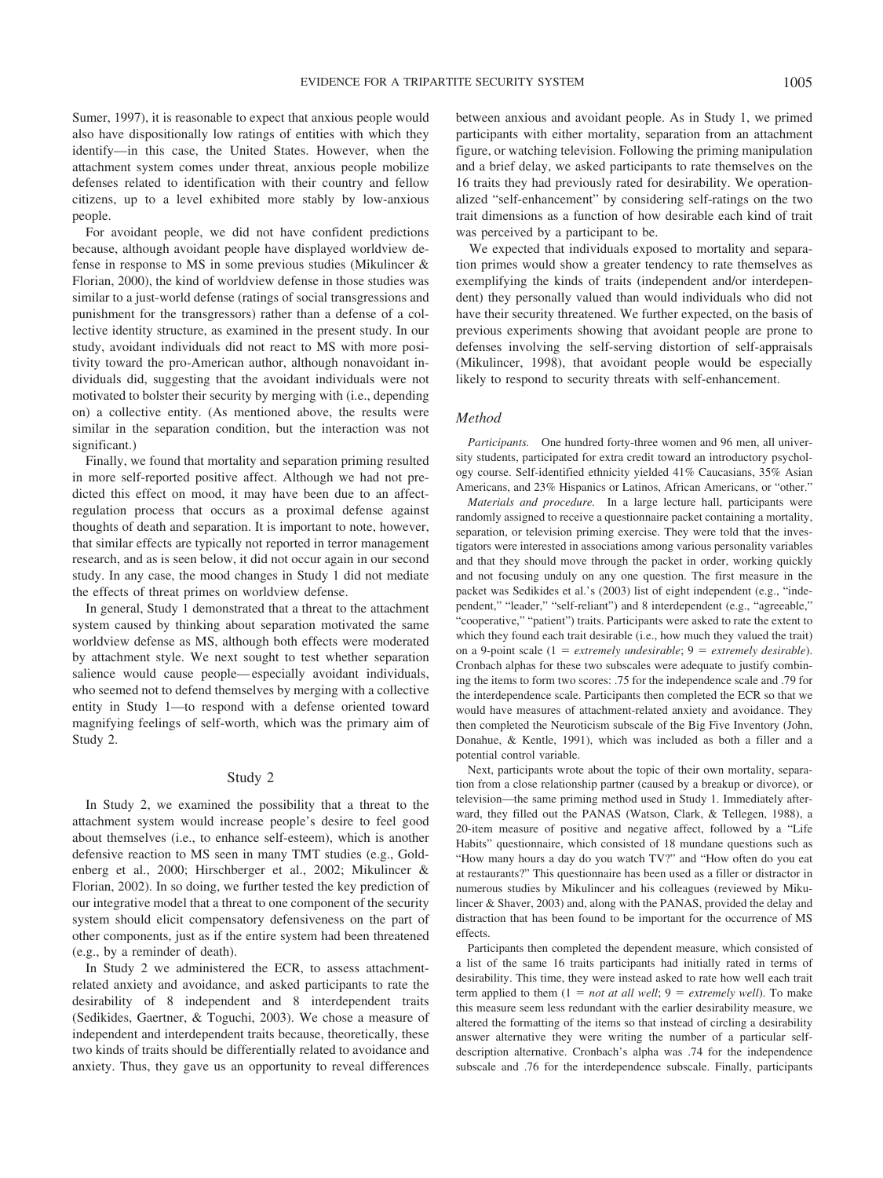Sumer, 1997), it is reasonable to expect that anxious people would also have dispositionally low ratings of entities with which they identify—in this case, the United States. However, when the attachment system comes under threat, anxious people mobilize defenses related to identification with their country and fellow citizens, up to a level exhibited more stably by low-anxious people.

For avoidant people, we did not have confident predictions because, although avoidant people have displayed worldview defense in response to MS in some previous studies (Mikulincer & Florian, 2000), the kind of worldview defense in those studies was similar to a just-world defense (ratings of social transgressions and punishment for the transgressors) rather than a defense of a collective identity structure, as examined in the present study. In our study, avoidant individuals did not react to MS with more positivity toward the pro-American author, although nonavoidant individuals did, suggesting that the avoidant individuals were not motivated to bolster their security by merging with (i.e., depending on) a collective entity. (As mentioned above, the results were similar in the separation condition, but the interaction was not significant.)

Finally, we found that mortality and separation priming resulted in more self-reported positive affect. Although we had not predicted this effect on mood, it may have been due to an affectregulation process that occurs as a proximal defense against thoughts of death and separation. It is important to note, however, that similar effects are typically not reported in terror management research, and as is seen below, it did not occur again in our second study. In any case, the mood changes in Study 1 did not mediate the effects of threat primes on worldview defense.

In general, Study 1 demonstrated that a threat to the attachment system caused by thinking about separation motivated the same worldview defense as MS, although both effects were moderated by attachment style. We next sought to test whether separation salience would cause people— especially avoidant individuals, who seemed not to defend themselves by merging with a collective entity in Study 1—to respond with a defense oriented toward magnifying feelings of self-worth, which was the primary aim of Study 2.

#### Study 2

In Study 2, we examined the possibility that a threat to the attachment system would increase people's desire to feel good about themselves (i.e., to enhance self-esteem), which is another defensive reaction to MS seen in many TMT studies (e.g., Goldenberg et al., 2000; Hirschberger et al., 2002; Mikulincer & Florian, 2002). In so doing, we further tested the key prediction of our integrative model that a threat to one component of the security system should elicit compensatory defensiveness on the part of other components, just as if the entire system had been threatened (e.g., by a reminder of death).

In Study 2 we administered the ECR, to assess attachmentrelated anxiety and avoidance, and asked participants to rate the desirability of 8 independent and 8 interdependent traits (Sedikides, Gaertner, & Toguchi, 2003). We chose a measure of independent and interdependent traits because, theoretically, these two kinds of traits should be differentially related to avoidance and anxiety. Thus, they gave us an opportunity to reveal differences

between anxious and avoidant people. As in Study 1, we primed participants with either mortality, separation from an attachment figure, or watching television. Following the priming manipulation and a brief delay, we asked participants to rate themselves on the 16 traits they had previously rated for desirability. We operationalized "self-enhancement" by considering self-ratings on the two trait dimensions as a function of how desirable each kind of trait was perceived by a participant to be.

We expected that individuals exposed to mortality and separation primes would show a greater tendency to rate themselves as exemplifying the kinds of traits (independent and/or interdependent) they personally valued than would individuals who did not have their security threatened. We further expected, on the basis of previous experiments showing that avoidant people are prone to defenses involving the self-serving distortion of self-appraisals (Mikulincer, 1998), that avoidant people would be especially likely to respond to security threats with self-enhancement.

#### *Method*

*Participants.* One hundred forty-three women and 96 men, all university students, participated for extra credit toward an introductory psychology course. Self-identified ethnicity yielded 41% Caucasians, 35% Asian Americans, and 23% Hispanics or Latinos, African Americans, or "other."

*Materials and procedure.* In a large lecture hall, participants were randomly assigned to receive a questionnaire packet containing a mortality, separation, or television priming exercise. They were told that the investigators were interested in associations among various personality variables and that they should move through the packet in order, working quickly and not focusing unduly on any one question. The first measure in the packet was Sedikides et al.'s (2003) list of eight independent (e.g., "independent," "leader," "self-reliant") and 8 interdependent (e.g., "agreeable," "cooperative," "patient") traits. Participants were asked to rate the extent to which they found each trait desirable (i.e., how much they valued the trait) on a 9-point scale  $(1 = extremely\,\,undesirable; 9 = extremely\,\,desirable).$ Cronbach alphas for these two subscales were adequate to justify combining the items to form two scores: .75 for the independence scale and .79 for the interdependence scale. Participants then completed the ECR so that we would have measures of attachment-related anxiety and avoidance. They then completed the Neuroticism subscale of the Big Five Inventory (John, Donahue, & Kentle, 1991), which was included as both a filler and a potential control variable.

Next, participants wrote about the topic of their own mortality, separation from a close relationship partner (caused by a breakup or divorce), or television—the same priming method used in Study 1. Immediately afterward, they filled out the PANAS (Watson, Clark, & Tellegen, 1988), a 20-item measure of positive and negative affect, followed by a "Life Habits" questionnaire, which consisted of 18 mundane questions such as "How many hours a day do you watch TV?" and "How often do you eat at restaurants?" This questionnaire has been used as a filler or distractor in numerous studies by Mikulincer and his colleagues (reviewed by Mikulincer & Shaver, 2003) and, along with the PANAS, provided the delay and distraction that has been found to be important for the occurrence of MS effects.

Participants then completed the dependent measure, which consisted of a list of the same 16 traits participants had initially rated in terms of desirability. This time, they were instead asked to rate how well each trait term applied to them  $(1 = not at all well; 9 = extremely well)$ . To make this measure seem less redundant with the earlier desirability measure, we altered the formatting of the items so that instead of circling a desirability answer alternative they were writing the number of a particular selfdescription alternative. Cronbach's alpha was .74 for the independence subscale and .76 for the interdependence subscale. Finally, participants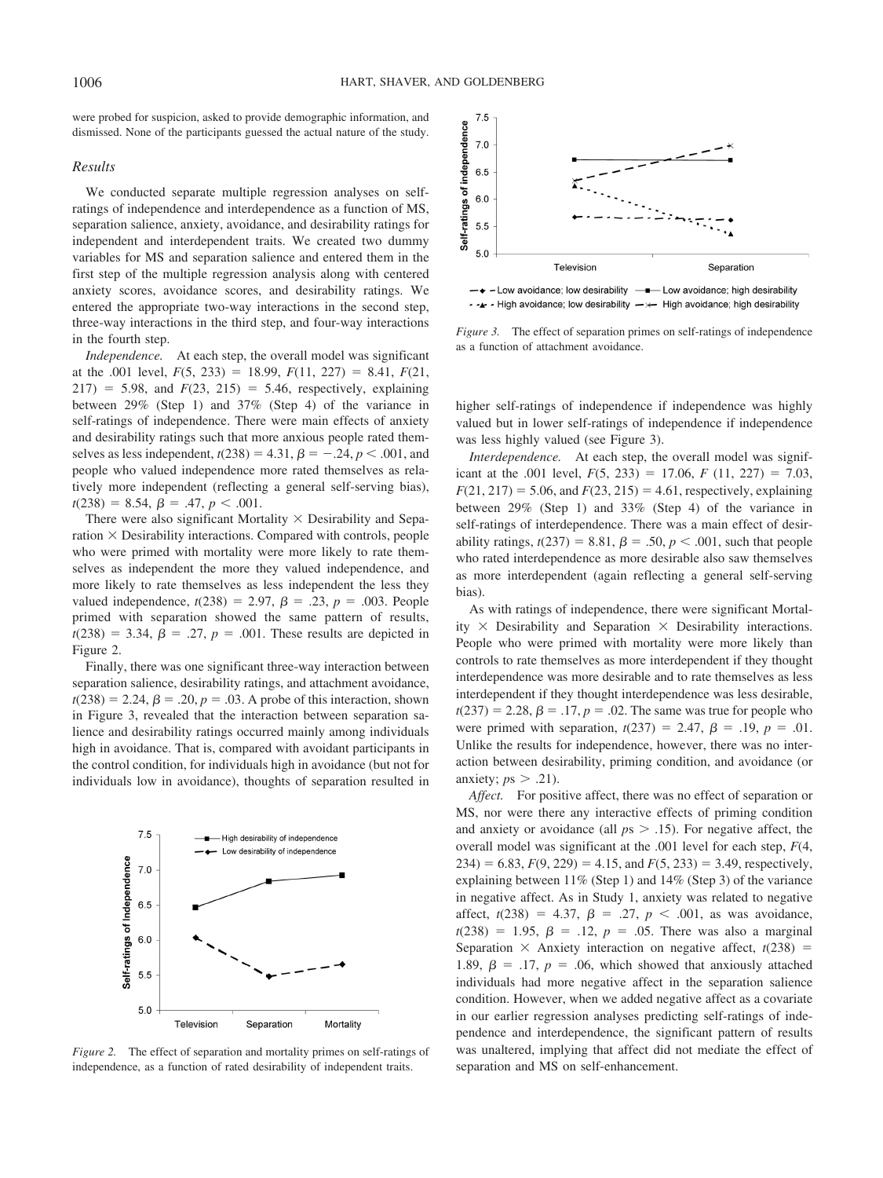were probed for suspicion, asked to provide demographic information, and dismissed. None of the participants guessed the actual nature of the study.

#### *Results*

We conducted separate multiple regression analyses on selfratings of independence and interdependence as a function of MS, separation salience, anxiety, avoidance, and desirability ratings for independent and interdependent traits. We created two dummy variables for MS and separation salience and entered them in the first step of the multiple regression analysis along with centered anxiety scores, avoidance scores, and desirability ratings. We entered the appropriate two-way interactions in the second step, three-way interactions in the third step, and four-way interactions in the fourth step.

*Independence.* At each step, the overall model was significant at the .001 level,  $F(5, 233) = 18.99, F(11, 227) = 8.41, F(21,$  $217) = 5.98$ , and  $F(23, 215) = 5.46$ , respectively, explaining between 29% (Step 1) and 37% (Step 4) of the variance in self-ratings of independence. There were main effects of anxiety and desirability ratings such that more anxious people rated themselves as less independent,  $t(238) = 4.31$ ,  $\beta = -.24$ ,  $p < .001$ , and people who valued independence more rated themselves as relatively more independent (reflecting a general self-serving bias),  $t(238) = 8.54, \beta = .47, p < .001.$ 

There were also significant Mortality  $\times$  Desirability and Separation  $\times$  Desirability interactions. Compared with controls, people who were primed with mortality were more likely to rate themselves as independent the more they valued independence, and more likely to rate themselves as less independent the less they valued independence,  $t(238) = 2.97$ ,  $\beta = .23$ ,  $p = .003$ . People primed with separation showed the same pattern of results,  $t(238) = 3.34, \beta = .27, p = .001$ . These results are depicted in Figure 2.

Finally, there was one significant three-way interaction between separation salience, desirability ratings, and attachment avoidance,  $t(238) = 2.24, \beta = .20, p = .03$ . A probe of this interaction, shown in Figure 3, revealed that the interaction between separation salience and desirability ratings occurred mainly among individuals high in avoidance. That is, compared with avoidant participants in the control condition, for individuals high in avoidance (but not for individuals low in avoidance), thoughts of separation resulted in



*Figure 2.* The effect of separation and mortality primes on self-ratings of independence, as a function of rated desirability of independent traits.



- - High avoidance; low desirability -> High avoidance; high desirability

*Figure 3.* The effect of separation primes on self-ratings of independence as a function of attachment avoidance.

higher self-ratings of independence if independence was highly valued but in lower self-ratings of independence if independence was less highly valued (see Figure 3).

*Interdependence.* At each step, the overall model was significant at the .001 level,  $F(5, 233) = 17.06$ ,  $F(11, 227) = 7.03$ ,  $F(21, 217) = 5.06$ , and  $F(23, 215) = 4.61$ , respectively, explaining between 29% (Step 1) and 33% (Step 4) of the variance in self-ratings of interdependence. There was a main effect of desirability ratings,  $t(237) = 8.81$ ,  $\beta = .50$ ,  $p < .001$ , such that people who rated interdependence as more desirable also saw themselves as more interdependent (again reflecting a general self-serving bias).

As with ratings of independence, there were significant Mortality  $\times$  Desirability and Separation  $\times$  Desirability interactions. People who were primed with mortality were more likely than controls to rate themselves as more interdependent if they thought interdependence was more desirable and to rate themselves as less interdependent if they thought interdependence was less desirable,  $t(237) = 2.28, \beta = .17, p = .02$ . The same was true for people who were primed with separation,  $t(237) = 2.47$ ,  $\beta = .19$ ,  $p = .01$ . Unlike the results for independence, however, there was no interaction between desirability, priming condition, and avoidance (or anxiety;  $ps > .21$ ).

*Affect.* For positive affect, there was no effect of separation or MS, nor were there any interactive effects of priming condition and anxiety or avoidance (all  $ps > .15$ ). For negative affect, the overall model was significant at the .001 level for each step, *F*(4,  $234$ ) = 6.83,  $F(9, 229)$  = 4.15, and  $F(5, 233)$  = 3.49, respectively, explaining between 11% (Step 1) and 14% (Step 3) of the variance in negative affect. As in Study 1, anxiety was related to negative affect,  $t(238) = 4.37$ ,  $\beta = .27$ ,  $p < .001$ , as was avoidance,  $t(238) = 1.95, \ \beta = .12, \ p = .05.$  There was also a marginal Separation  $\times$  Anxiety interaction on negative affect,  $t(238)$  = 1.89,  $\beta$  = .17,  $p$  = .06, which showed that anxiously attached individuals had more negative affect in the separation salience condition. However, when we added negative affect as a covariate in our earlier regression analyses predicting self-ratings of independence and interdependence, the significant pattern of results was unaltered, implying that affect did not mediate the effect of separation and MS on self-enhancement.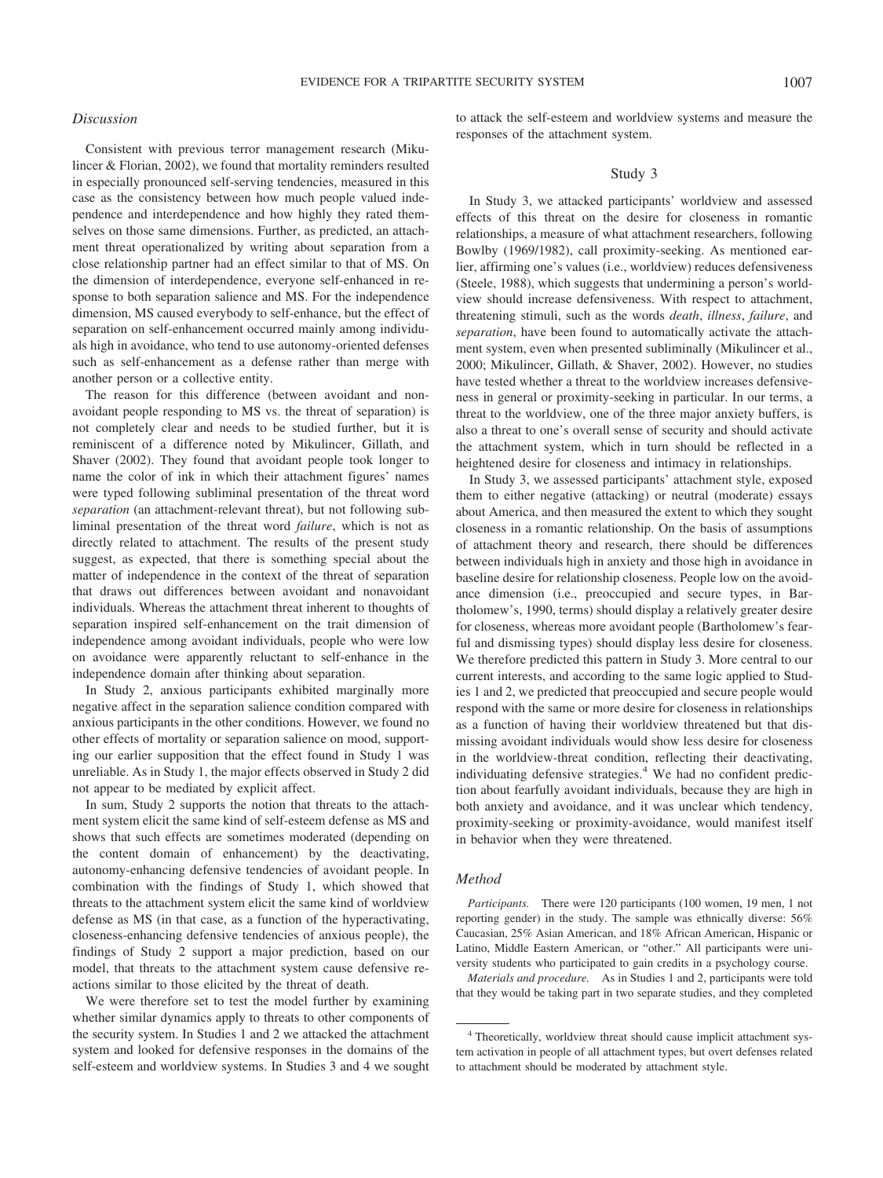## *Discussion*

Consistent with previous terror management research (Mikulincer & Florian, 2002), we found that mortality reminders resulted in especially pronounced self-serving tendencies, measured in this case as the consistency between how much people valued independence and interdependence and how highly they rated themselves on those same dimensions. Further, as predicted, an attachment threat operationalized by writing about separation from a close relationship partner had an effect similar to that of MS. On the dimension of interdependence, everyone self-enhanced in response to both separation salience and MS. For the independence dimension, MS caused everybody to self-enhance, but the effect of separation on self-enhancement occurred mainly among individuals high in avoidance, who tend to use autonomy-oriented defenses such as self-enhancement as a defense rather than merge with another person or a collective entity.

The reason for this difference (between avoidant and nonavoidant people responding to MS vs. the threat of separation) is not completely clear and needs to be studied further, but it is reminiscent of a difference noted by Mikulincer, Gillath, and Shaver (2002). They found that avoidant people took longer to name the color of ink in which their attachment figures' names were typed following subliminal presentation of the threat word *separation* (an attachment-relevant threat), but not following subliminal presentation of the threat word *failure*, which is not as directly related to attachment. The results of the present study suggest, as expected, that there is something special about the matter of independence in the context of the threat of separation that draws out differences between avoidant and nonavoidant individuals. Whereas the attachment threat inherent to thoughts of separation inspired self-enhancement on the trait dimension of independence among avoidant individuals, people who were low on avoidance were apparently reluctant to self-enhance in the independence domain after thinking about separation.

In Study 2, anxious participants exhibited marginally more negative affect in the separation salience condition compared with anxious participants in the other conditions. However, we found no other effects of mortality or separation salience on mood, supporting our earlier supposition that the effect found in Study 1 was unreliable. As in Study 1, the major effects observed in Study 2 did not appear to be mediated by explicit affect.

In sum, Study 2 supports the notion that threats to the attachment system elicit the same kind of self-esteem defense as MS and shows that such effects are sometimes moderated (depending on the content domain of enhancement) by the deactivating, autonomy-enhancing defensive tendencies of avoidant people. In combination with the findings of Study 1, which showed that threats to the attachment system elicit the same kind of worldview defense as MS (in that case, as a function of the hyperactivating, closeness-enhancing defensive tendencies of anxious people), the findings of Study 2 support a major prediction, based on our model, that threats to the attachment system cause defensive reactions similar to those elicited by the threat of death.

We were therefore set to test the model further by examining whether similar dynamics apply to threats to other components of the security system. In Studies 1 and 2 we attacked the attachment system and looked for defensive responses in the domains of the self-esteem and worldview systems. In Studies 3 and 4 we sought to attack the self-esteem and worldview systems and measure the responses of the attachment system.

# Study 3

In Study 3, we attacked participants' worldview and assessed effects of this threat on the desire for closeness in romantic relationships, a measure of what attachment researchers, following Bowlby (1969/1982), call proximity-seeking. As mentioned earlier, affirming one's values (i.e., worldview) reduces defensiveness (Steele, 1988), which suggests that undermining a person's worldview should increase defensiveness. With respect to attachment, threatening stimuli, such as the words *death*, *illness*, *failure*, and *separation*, have been found to automatically activate the attachment system, even when presented subliminally (Mikulincer et al., 2000; Mikulincer, Gillath, & Shaver, 2002). However, no studies have tested whether a threat to the worldview increases defensiveness in general or proximity-seeking in particular. In our terms, a threat to the worldview, one of the three major anxiety buffers, is also a threat to one's overall sense of security and should activate the attachment system, which in turn should be reflected in a heightened desire for closeness and intimacy in relationships.

In Study 3, we assessed participants' attachment style, exposed them to either negative (attacking) or neutral (moderate) essays about America, and then measured the extent to which they sought closeness in a romantic relationship. On the basis of assumptions of attachment theory and research, there should be differences between individuals high in anxiety and those high in avoidance in baseline desire for relationship closeness. People low on the avoidance dimension (i.e., preoccupied and secure types, in Bartholomew's, 1990, terms) should display a relatively greater desire for closeness, whereas more avoidant people (Bartholomew's fearful and dismissing types) should display less desire for closeness. We therefore predicted this pattern in Study 3. More central to our current interests, and according to the same logic applied to Studies 1 and 2, we predicted that preoccupied and secure people would respond with the same or more desire for closeness in relationships as a function of having their worldview threatened but that dismissing avoidant individuals would show less desire for closeness in the worldview-threat condition, reflecting their deactivating, individuating defensive strategies.<sup>4</sup> We had no confident prediction about fearfully avoidant individuals, because they are high in both anxiety and avoidance, and it was unclear which tendency, proximity-seeking or proximity-avoidance, would manifest itself in behavior when they were threatened.

#### *Method*

*Participants.* There were 120 participants (100 women, 19 men, 1 not reporting gender) in the study. The sample was ethnically diverse: 56% Caucasian, 25% Asian American, and 18% African American, Hispanic or Latino, Middle Eastern American, or "other." All participants were university students who participated to gain credits in a psychology course.

*Materials and procedure.* As in Studies 1 and 2, participants were told that they would be taking part in two separate studies, and they completed

<sup>4</sup> Theoretically, worldview threat should cause implicit attachment system activation in people of all attachment types, but overt defenses related to attachment should be moderated by attachment style.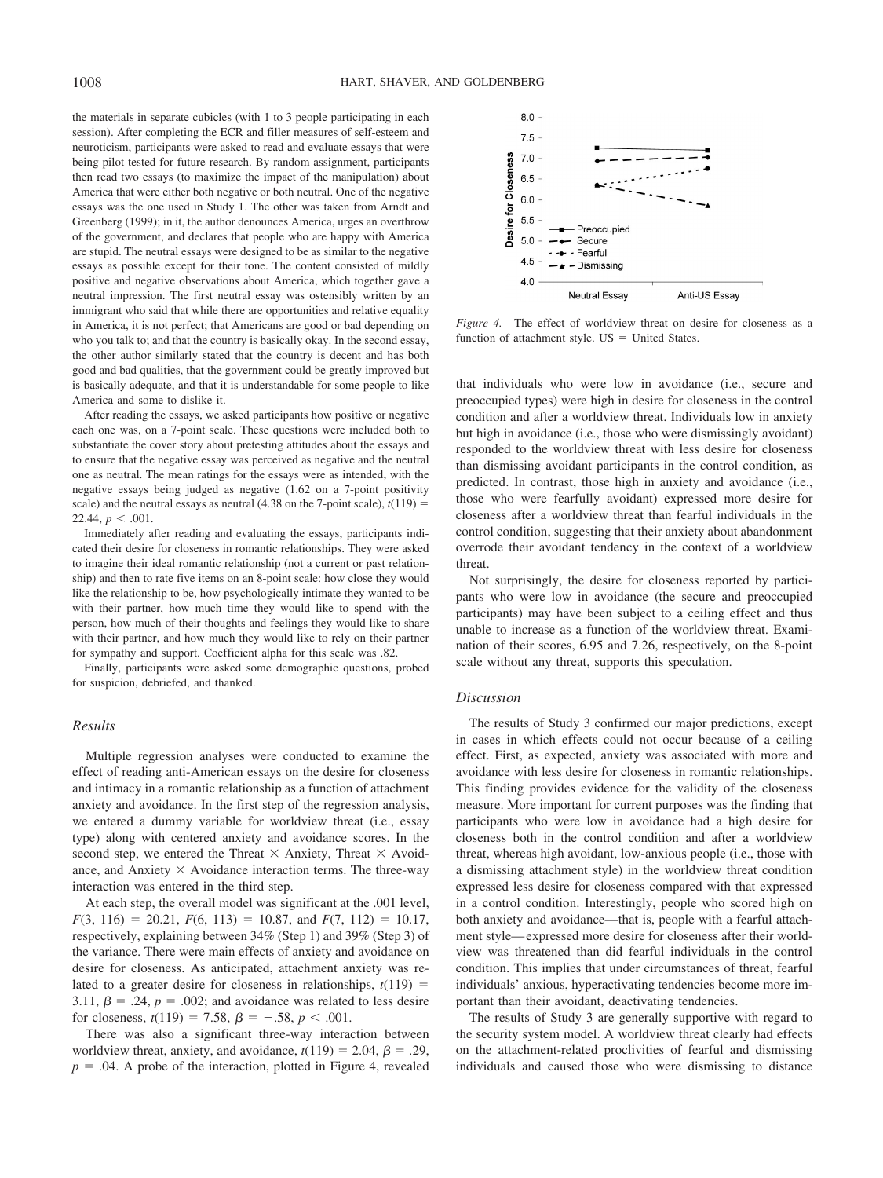the materials in separate cubicles (with 1 to 3 people participating in each session). After completing the ECR and filler measures of self-esteem and neuroticism, participants were asked to read and evaluate essays that were being pilot tested for future research. By random assignment, participants then read two essays (to maximize the impact of the manipulation) about America that were either both negative or both neutral. One of the negative essays was the one used in Study 1. The other was taken from Arndt and Greenberg (1999); in it, the author denounces America, urges an overthrow of the government, and declares that people who are happy with America are stupid. The neutral essays were designed to be as similar to the negative essays as possible except for their tone. The content consisted of mildly positive and negative observations about America, which together gave a neutral impression. The first neutral essay was ostensibly written by an immigrant who said that while there are opportunities and relative equality in America, it is not perfect; that Americans are good or bad depending on who you talk to; and that the country is basically okay. In the second essay, the other author similarly stated that the country is decent and has both good and bad qualities, that the government could be greatly improved but is basically adequate, and that it is understandable for some people to like America and some to dislike it.

After reading the essays, we asked participants how positive or negative each one was, on a 7-point scale. These questions were included both to substantiate the cover story about pretesting attitudes about the essays and to ensure that the negative essay was perceived as negative and the neutral one as neutral. The mean ratings for the essays were as intended, with the negative essays being judged as negative (1.62 on a 7-point positivity scale) and the neutral essays as neutral  $(4.38 \text{ on the } 7\text{-point scale})$ ,  $t(119) =$ 22.44,  $p < .001$ .

Immediately after reading and evaluating the essays, participants indicated their desire for closeness in romantic relationships. They were asked to imagine their ideal romantic relationship (not a current or past relationship) and then to rate five items on an 8-point scale: how close they would like the relationship to be, how psychologically intimate they wanted to be with their partner, how much time they would like to spend with the person, how much of their thoughts and feelings they would like to share with their partner, and how much they would like to rely on their partner for sympathy and support. Coefficient alpha for this scale was .82.

Finally, participants were asked some demographic questions, probed for suspicion, debriefed, and thanked.

## *Results*

Multiple regression analyses were conducted to examine the effect of reading anti-American essays on the desire for closeness and intimacy in a romantic relationship as a function of attachment anxiety and avoidance. In the first step of the regression analysis, we entered a dummy variable for worldview threat (i.e., essay type) along with centered anxiety and avoidance scores. In the second step, we entered the Threat  $\times$  Anxiety, Threat  $\times$  Avoidance, and Anxiety  $\times$  Avoidance interaction terms. The three-way interaction was entered in the third step.

At each step, the overall model was significant at the .001 level,  $F(3, 116) = 20.21, F(6, 113) = 10.87, \text{ and } F(7, 112) = 10.17,$ respectively, explaining between 34% (Step 1) and 39% (Step 3) of the variance. There were main effects of anxiety and avoidance on desire for closeness. As anticipated, attachment anxiety was related to a greater desire for closeness in relationships,  $t(119)$  = 3.11,  $\beta = .24$ ,  $p = .002$ ; and avoidance was related to less desire for closeness,  $t(119) = 7.58$ ,  $\beta = -.58$ ,  $p < .001$ .

There was also a significant three-way interaction between worldview threat, anxiety, and avoidance,  $t(119) = 2.04$ ,  $\beta = .29$ ,  $p = .04$ . A probe of the interaction, plotted in Figure 4, revealed



*Figure 4.* The effect of worldview threat on desire for closeness as a function of attachment style.  $US =$  United States.

that individuals who were low in avoidance (i.e., secure and preoccupied types) were high in desire for closeness in the control condition and after a worldview threat. Individuals low in anxiety but high in avoidance (i.e., those who were dismissingly avoidant) responded to the worldview threat with less desire for closeness than dismissing avoidant participants in the control condition, as predicted. In contrast, those high in anxiety and avoidance (i.e., those who were fearfully avoidant) expressed more desire for closeness after a worldview threat than fearful individuals in the control condition, suggesting that their anxiety about abandonment overrode their avoidant tendency in the context of a worldview threat.

Not surprisingly, the desire for closeness reported by participants who were low in avoidance (the secure and preoccupied participants) may have been subject to a ceiling effect and thus unable to increase as a function of the worldview threat. Examination of their scores, 6.95 and 7.26, respectively, on the 8-point scale without any threat, supports this speculation.

### *Discussion*

The results of Study 3 confirmed our major predictions, except in cases in which effects could not occur because of a ceiling effect. First, as expected, anxiety was associated with more and avoidance with less desire for closeness in romantic relationships. This finding provides evidence for the validity of the closeness measure. More important for current purposes was the finding that participants who were low in avoidance had a high desire for closeness both in the control condition and after a worldview threat, whereas high avoidant, low-anxious people (i.e., those with a dismissing attachment style) in the worldview threat condition expressed less desire for closeness compared with that expressed in a control condition. Interestingly, people who scored high on both anxiety and avoidance—that is, people with a fearful attachment style— expressed more desire for closeness after their worldview was threatened than did fearful individuals in the control condition. This implies that under circumstances of threat, fearful individuals' anxious, hyperactivating tendencies become more important than their avoidant, deactivating tendencies.

The results of Study 3 are generally supportive with regard to the security system model. A worldview threat clearly had effects on the attachment-related proclivities of fearful and dismissing individuals and caused those who were dismissing to distance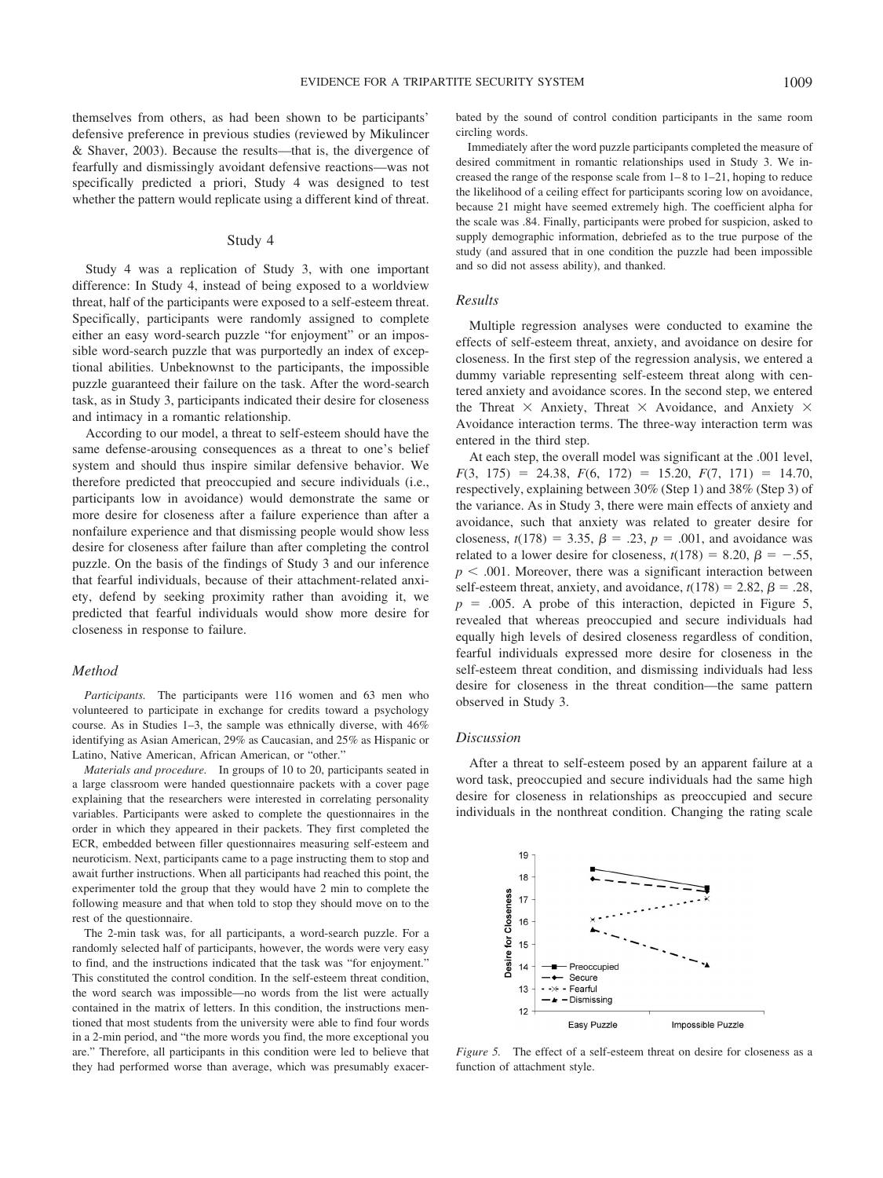themselves from others, as had been shown to be participants' defensive preference in previous studies (reviewed by Mikulincer & Shaver, 2003). Because the results—that is, the divergence of fearfully and dismissingly avoidant defensive reactions—was not specifically predicted a priori, Study 4 was designed to test whether the pattern would replicate using a different kind of threat.

#### Study 4

Study 4 was a replication of Study 3, with one important difference: In Study 4, instead of being exposed to a worldview threat, half of the participants were exposed to a self-esteem threat. Specifically, participants were randomly assigned to complete either an easy word-search puzzle "for enjoyment" or an impossible word-search puzzle that was purportedly an index of exceptional abilities. Unbeknownst to the participants, the impossible puzzle guaranteed their failure on the task. After the word-search task, as in Study 3, participants indicated their desire for closeness and intimacy in a romantic relationship.

According to our model, a threat to self-esteem should have the same defense-arousing consequences as a threat to one's belief system and should thus inspire similar defensive behavior. We therefore predicted that preoccupied and secure individuals (i.e., participants low in avoidance) would demonstrate the same or more desire for closeness after a failure experience than after a nonfailure experience and that dismissing people would show less desire for closeness after failure than after completing the control puzzle. On the basis of the findings of Study 3 and our inference that fearful individuals, because of their attachment-related anxiety, defend by seeking proximity rather than avoiding it, we predicted that fearful individuals would show more desire for closeness in response to failure.

#### *Method*

*Participants.* The participants were 116 women and 63 men who volunteered to participate in exchange for credits toward a psychology course. As in Studies 1–3, the sample was ethnically diverse, with 46% identifying as Asian American, 29% as Caucasian, and 25% as Hispanic or Latino, Native American, African American, or "other."

*Materials and procedure.* In groups of 10 to 20, participants seated in a large classroom were handed questionnaire packets with a cover page explaining that the researchers were interested in correlating personality variables. Participants were asked to complete the questionnaires in the order in which they appeared in their packets. They first completed the ECR, embedded between filler questionnaires measuring self-esteem and neuroticism. Next, participants came to a page instructing them to stop and await further instructions. When all participants had reached this point, the experimenter told the group that they would have 2 min to complete the following measure and that when told to stop they should move on to the rest of the questionnaire.

The 2-min task was, for all participants, a word-search puzzle. For a randomly selected half of participants, however, the words were very easy to find, and the instructions indicated that the task was "for enjoyment." This constituted the control condition. In the self-esteem threat condition, the word search was impossible—no words from the list were actually contained in the matrix of letters. In this condition, the instructions mentioned that most students from the university were able to find four words in a 2-min period, and "the more words you find, the more exceptional you are." Therefore, all participants in this condition were led to believe that they had performed worse than average, which was presumably exacerbated by the sound of control condition participants in the same room circling words.

Immediately after the word puzzle participants completed the measure of desired commitment in romantic relationships used in Study 3. We increased the range of the response scale from 1– 8 to 1–21, hoping to reduce the likelihood of a ceiling effect for participants scoring low on avoidance, because 21 might have seemed extremely high. The coefficient alpha for the scale was .84. Finally, participants were probed for suspicion, asked to supply demographic information, debriefed as to the true purpose of the study (and assured that in one condition the puzzle had been impossible and so did not assess ability), and thanked.

## *Results*

Multiple regression analyses were conducted to examine the effects of self-esteem threat, anxiety, and avoidance on desire for closeness. In the first step of the regression analysis, we entered a dummy variable representing self-esteem threat along with centered anxiety and avoidance scores. In the second step, we entered the Threat  $\times$  Anxiety, Threat  $\times$  Avoidance, and Anxiety  $\times$ Avoidance interaction terms. The three-way interaction term was entered in the third step.

At each step, the overall model was significant at the .001 level,  $F(3, 175) = 24.38, F(6, 172) = 15.20, F(7, 171) = 14.70,$ respectively, explaining between 30% (Step 1) and 38% (Step 3) of the variance. As in Study 3, there were main effects of anxiety and avoidance, such that anxiety was related to greater desire for closeness,  $t(178) = 3.35$ ,  $\beta = .23$ ,  $p = .001$ , and avoidance was related to a lower desire for closeness,  $t(178) = 8.20, \beta = -.55,$  $p < .001$ . Moreover, there was a significant interaction between self-esteem threat, anxiety, and avoidance,  $t(178) = 2.82$ ,  $\beta = .28$ ,  $p = .005$ . A probe of this interaction, depicted in Figure 5, revealed that whereas preoccupied and secure individuals had equally high levels of desired closeness regardless of condition, fearful individuals expressed more desire for closeness in the self-esteem threat condition, and dismissing individuals had less desire for closeness in the threat condition—the same pattern observed in Study 3.

#### *Discussion*

After a threat to self-esteem posed by an apparent failure at a word task, preoccupied and secure individuals had the same high desire for closeness in relationships as preoccupied and secure individuals in the nonthreat condition. Changing the rating scale



*Figure 5.* The effect of a self-esteem threat on desire for closeness as a function of attachment style.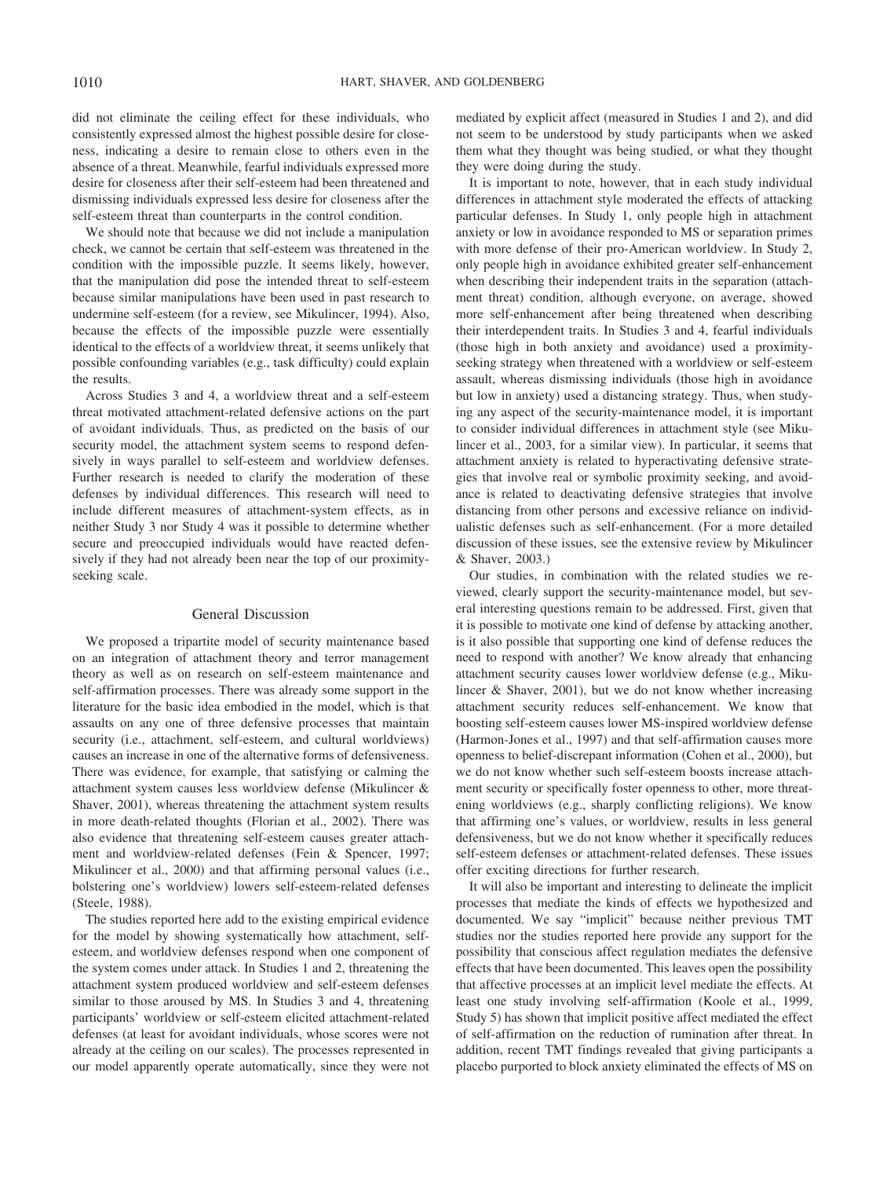did not eliminate the ceiling effect for these individuals, who consistently expressed almost the highest possible desire for closeness, indicating a desire to remain close to others even in the absence of a threat. Meanwhile, fearful individuals expressed more desire for closeness after their self-esteem had been threatened and dismissing individuals expressed less desire for closeness after the self-esteem threat than counterparts in the control condition.

We should note that because we did not include a manipulation check, we cannot be certain that self-esteem was threatened in the condition with the impossible puzzle. It seems likely, however, that the manipulation did pose the intended threat to self-esteem because similar manipulations have been used in past research to undermine self-esteem (for a review, see Mikulincer, 1994). Also, because the effects of the impossible puzzle were essentially identical to the effects of a worldview threat, it seems unlikely that possible confounding variables (e.g., task difficulty) could explain the results.

Across Studies 3 and 4, a worldview threat and a self-esteem threat motivated attachment-related defensive actions on the part of avoidant individuals. Thus, as predicted on the basis of our security model, the attachment system seems to respond defensively in ways parallel to self-esteem and worldview defenses. Further research is needed to clarify the moderation of these defenses by individual differences. This research will need to include different measures of attachment-system effects, as in neither Study 3 nor Study 4 was it possible to determine whether secure and preoccupied individuals would have reacted defensively if they had not already been near the top of our proximityseeking scale.

## General Discussion

We proposed a tripartite model of security maintenance based on an integration of attachment theory and terror management theory as well as on research on self-esteem maintenance and self-affirmation processes. There was already some support in the literature for the basic idea embodied in the model, which is that assaults on any one of three defensive processes that maintain security (i.e., attachment, self-esteem, and cultural worldviews) causes an increase in one of the alternative forms of defensiveness. There was evidence, for example, that satisfying or calming the attachment system causes less worldview defense (Mikulincer & Shaver, 2001), whereas threatening the attachment system results in more death-related thoughts (Florian et al., 2002). There was also evidence that threatening self-esteem causes greater attachment and worldview-related defenses (Fein & Spencer, 1997; Mikulincer et al., 2000) and that affirming personal values (i.e., bolstering one's worldview) lowers self-esteem-related defenses (Steele, 1988).

The studies reported here add to the existing empirical evidence for the model by showing systematically how attachment, selfesteem, and worldview defenses respond when one component of the system comes under attack. In Studies 1 and 2, threatening the attachment system produced worldview and self-esteem defenses similar to those aroused by MS. In Studies 3 and 4, threatening participants' worldview or self-esteem elicited attachment-related defenses (at least for avoidant individuals, whose scores were not already at the ceiling on our scales). The processes represented in our model apparently operate automatically, since they were not mediated by explicit affect (measured in Studies 1 and 2), and did not seem to be understood by study participants when we asked them what they thought was being studied, or what they thought they were doing during the study.

It is important to note, however, that in each study individual differences in attachment style moderated the effects of attacking particular defenses. In Study 1, only people high in attachment anxiety or low in avoidance responded to MS or separation primes with more defense of their pro-American worldview. In Study 2, only people high in avoidance exhibited greater self-enhancement when describing their independent traits in the separation (attachment threat) condition, although everyone, on average, showed more self-enhancement after being threatened when describing their interdependent traits. In Studies 3 and 4, fearful individuals (those high in both anxiety and avoidance) used a proximityseeking strategy when threatened with a worldview or self-esteem assault, whereas dismissing individuals (those high in avoidance but low in anxiety) used a distancing strategy. Thus, when studying any aspect of the security-maintenance model, it is important to consider individual differences in attachment style (see Mikulincer et al., 2003, for a similar view). In particular, it seems that attachment anxiety is related to hyperactivating defensive strategies that involve real or symbolic proximity seeking, and avoidance is related to deactivating defensive strategies that involve distancing from other persons and excessive reliance on individualistic defenses such as self-enhancement. (For a more detailed discussion of these issues, see the extensive review by Mikulincer  $&$  Shaver, 2003.)

Our studies, in combination with the related studies we reviewed, clearly support the security-maintenance model, but several interesting questions remain to be addressed. First, given that it is possible to motivate one kind of defense by attacking another, is it also possible that supporting one kind of defense reduces the need to respond with another? We know already that enhancing attachment security causes lower worldview defense (e.g., Mikulincer & Shaver, 2001), but we do not know whether increasing attachment security reduces self-enhancement. We know that boosting self-esteem causes lower MS-inspired worldview defense (Harmon-Jones et al., 1997) and that self-affirmation causes more openness to belief-discrepant information (Cohen et al., 2000), but we do not know whether such self-esteem boosts increase attachment security or specifically foster openness to other, more threatening worldviews (e.g., sharply conflicting religions). We know that affirming one's values, or worldview, results in less general defensiveness, but we do not know whether it specifically reduces self-esteem defenses or attachment-related defenses. These issues offer exciting directions for further research.

It will also be important and interesting to delineate the implicit processes that mediate the kinds of effects we hypothesized and documented. We say "implicit" because neither previous TMT studies nor the studies reported here provide any support for the possibility that conscious affect regulation mediates the defensive effects that have been documented. This leaves open the possibility that affective processes at an implicit level mediate the effects. At least one study involving self-affirmation (Koole et al., 1999, Study 5) has shown that implicit positive affect mediated the effect of self-affirmation on the reduction of rumination after threat. In addition, recent TMT findings revealed that giving participants a placebo purported to block anxiety eliminated the effects of MS on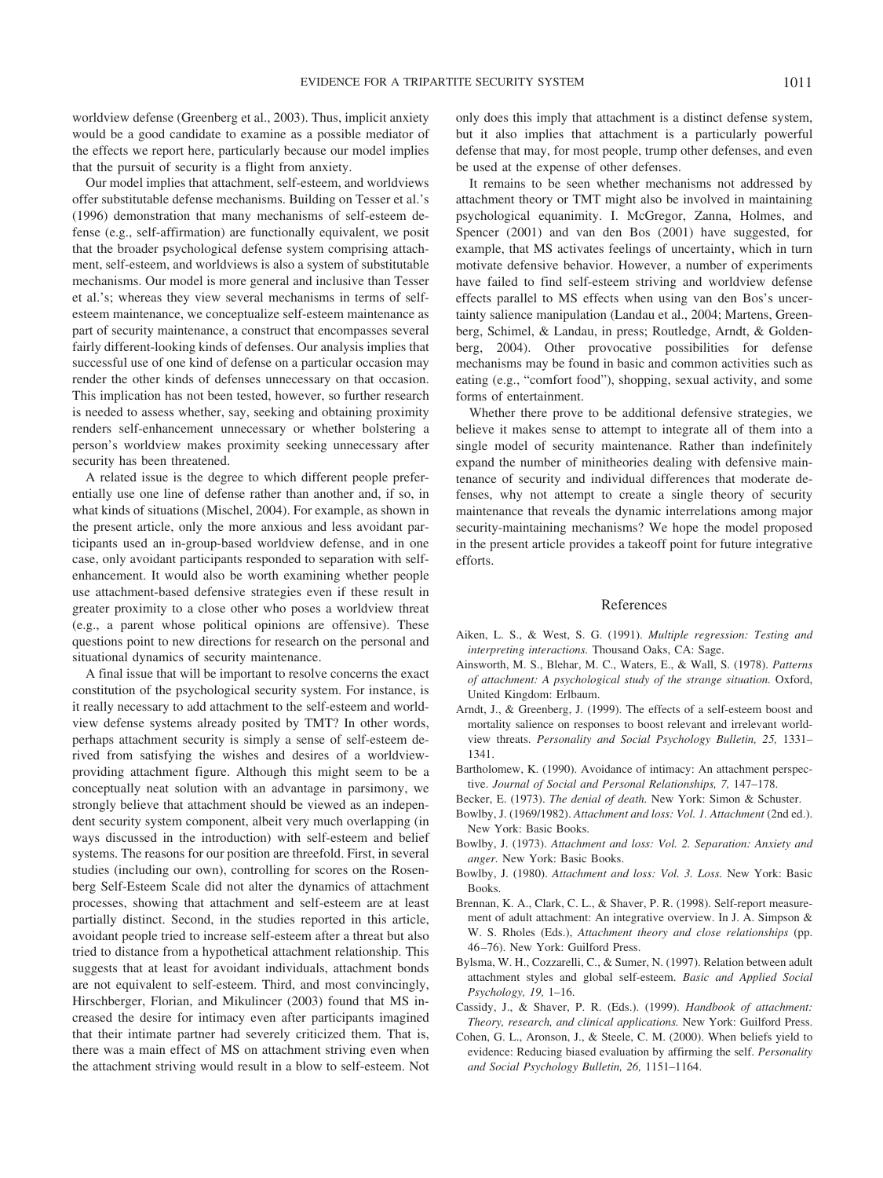worldview defense (Greenberg et al., 2003). Thus, implicit anxiety would be a good candidate to examine as a possible mediator of the effects we report here, particularly because our model implies that the pursuit of security is a flight from anxiety.

Our model implies that attachment, self-esteem, and worldviews offer substitutable defense mechanisms. Building on Tesser et al.'s (1996) demonstration that many mechanisms of self-esteem defense (e.g., self-affirmation) are functionally equivalent, we posit that the broader psychological defense system comprising attachment, self-esteem, and worldviews is also a system of substitutable mechanisms. Our model is more general and inclusive than Tesser et al.'s; whereas they view several mechanisms in terms of selfesteem maintenance, we conceptualize self-esteem maintenance as part of security maintenance, a construct that encompasses several fairly different-looking kinds of defenses. Our analysis implies that successful use of one kind of defense on a particular occasion may render the other kinds of defenses unnecessary on that occasion. This implication has not been tested, however, so further research is needed to assess whether, say, seeking and obtaining proximity renders self-enhancement unnecessary or whether bolstering a person's worldview makes proximity seeking unnecessary after security has been threatened.

A related issue is the degree to which different people preferentially use one line of defense rather than another and, if so, in what kinds of situations (Mischel, 2004). For example, as shown in the present article, only the more anxious and less avoidant participants used an in-group-based worldview defense, and in one case, only avoidant participants responded to separation with selfenhancement. It would also be worth examining whether people use attachment-based defensive strategies even if these result in greater proximity to a close other who poses a worldview threat (e.g., a parent whose political opinions are offensive). These questions point to new directions for research on the personal and situational dynamics of security maintenance.

A final issue that will be important to resolve concerns the exact constitution of the psychological security system. For instance, is it really necessary to add attachment to the self-esteem and worldview defense systems already posited by TMT? In other words, perhaps attachment security is simply a sense of self-esteem derived from satisfying the wishes and desires of a worldviewproviding attachment figure. Although this might seem to be a conceptually neat solution with an advantage in parsimony, we strongly believe that attachment should be viewed as an independent security system component, albeit very much overlapping (in ways discussed in the introduction) with self-esteem and belief systems. The reasons for our position are threefold. First, in several studies (including our own), controlling for scores on the Rosenberg Self-Esteem Scale did not alter the dynamics of attachment processes, showing that attachment and self-esteem are at least partially distinct. Second, in the studies reported in this article, avoidant people tried to increase self-esteem after a threat but also tried to distance from a hypothetical attachment relationship. This suggests that at least for avoidant individuals, attachment bonds are not equivalent to self-esteem. Third, and most convincingly, Hirschberger, Florian, and Mikulincer (2003) found that MS increased the desire for intimacy even after participants imagined that their intimate partner had severely criticized them. That is, there was a main effect of MS on attachment striving even when the attachment striving would result in a blow to self-esteem. Not

only does this imply that attachment is a distinct defense system, but it also implies that attachment is a particularly powerful defense that may, for most people, trump other defenses, and even be used at the expense of other defenses.

It remains to be seen whether mechanisms not addressed by attachment theory or TMT might also be involved in maintaining psychological equanimity. I. McGregor, Zanna, Holmes, and Spencer (2001) and van den Bos (2001) have suggested, for example, that MS activates feelings of uncertainty, which in turn motivate defensive behavior. However, a number of experiments have failed to find self-esteem striving and worldview defense effects parallel to MS effects when using van den Bos's uncertainty salience manipulation (Landau et al., 2004; Martens, Greenberg, Schimel, & Landau, in press; Routledge, Arndt, & Goldenberg, 2004). Other provocative possibilities for defense mechanisms may be found in basic and common activities such as eating (e.g., "comfort food"), shopping, sexual activity, and some forms of entertainment.

Whether there prove to be additional defensive strategies, we believe it makes sense to attempt to integrate all of them into a single model of security maintenance. Rather than indefinitely expand the number of minitheories dealing with defensive maintenance of security and individual differences that moderate defenses, why not attempt to create a single theory of security maintenance that reveals the dynamic interrelations among major security-maintaining mechanisms? We hope the model proposed in the present article provides a takeoff point for future integrative efforts.

## References

- Aiken, L. S., & West, S. G. (1991). *Multiple regression: Testing and interpreting interactions.* Thousand Oaks, CA: Sage.
- Ainsworth, M. S., Blehar, M. C., Waters, E., & Wall, S. (1978). *Patterns of attachment: A psychological study of the strange situation.* Oxford, United Kingdom: Erlbaum.
- Arndt, J., & Greenberg, J. (1999). The effects of a self-esteem boost and mortality salience on responses to boost relevant and irrelevant worldview threats. *Personality and Social Psychology Bulletin, 25,* 1331– 1341.
- Bartholomew, K. (1990). Avoidance of intimacy: An attachment perspective. *Journal of Social and Personal Relationships, 7,* 147–178.
- Becker, E. (1973). *The denial of death.* New York: Simon & Schuster.
- Bowlby, J. (1969/1982). *Attachment and loss: Vol. 1. Attachment* (2nd ed.). New York: Basic Books.
- Bowlby, J. (1973). *Attachment and loss: Vol. 2. Separation: Anxiety and anger.* New York: Basic Books.
- Bowlby, J. (1980). *Attachment and loss: Vol. 3. Loss.* New York: Basic Books.
- Brennan, K. A., Clark, C. L., & Shaver, P. R. (1998). Self-report measurement of adult attachment: An integrative overview. In J. A. Simpson & W. S. Rholes (Eds.), *Attachment theory and close relationships* (pp. 46 –76). New York: Guilford Press.
- Bylsma, W. H., Cozzarelli, C., & Sumer, N. (1997). Relation between adult attachment styles and global self-esteem. *Basic and Applied Social Psychology, 19,* 1–16.
- Cassidy, J., & Shaver, P. R. (Eds.). (1999). *Handbook of attachment: Theory, research, and clinical applications.* New York: Guilford Press.
- Cohen, G. L., Aronson, J., & Steele, C. M. (2000). When beliefs yield to evidence: Reducing biased evaluation by affirming the self. *Personality and Social Psychology Bulletin, 26,* 1151–1164.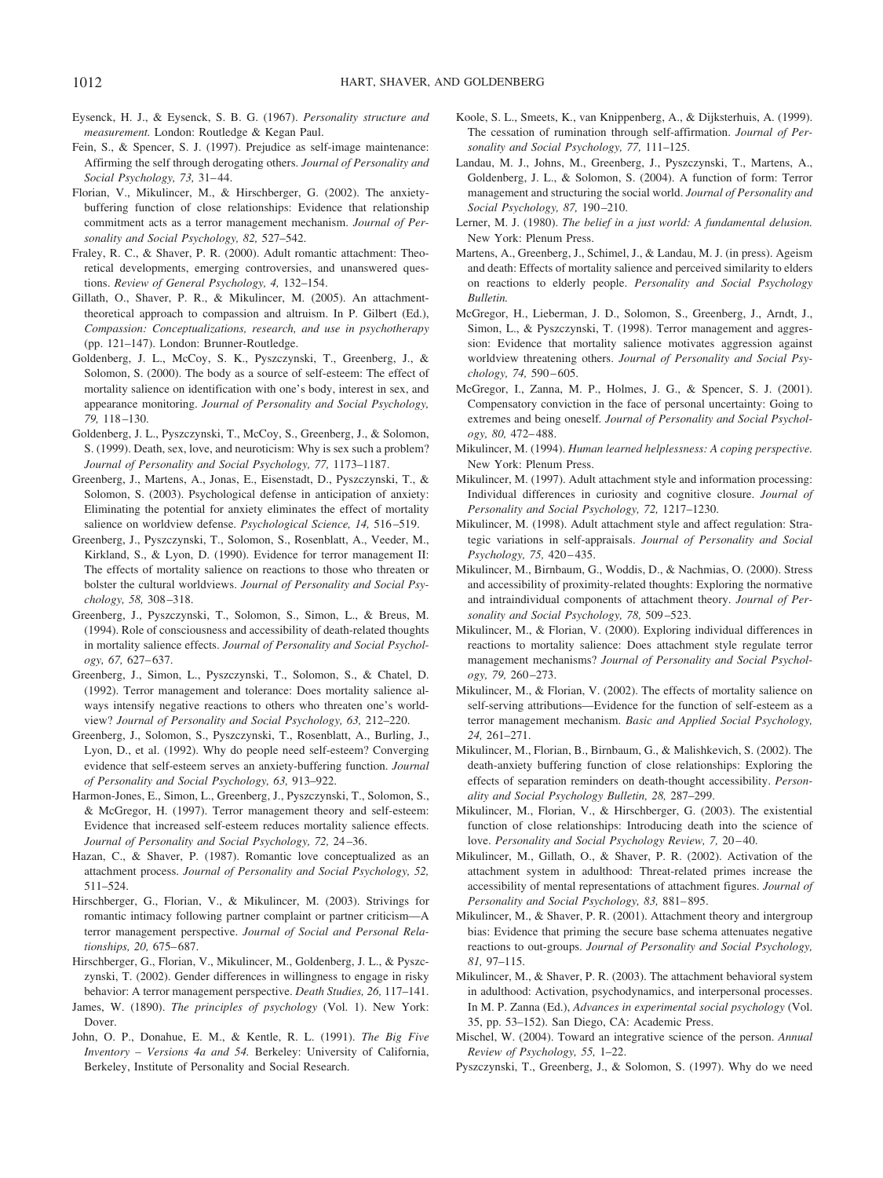- Eysenck, H. J., & Eysenck, S. B. G. (1967). *Personality structure and measurement.* London: Routledge & Kegan Paul.
- Fein, S., & Spencer, S. J. (1997). Prejudice as self-image maintenance: Affirming the self through derogating others. *Journal of Personality and Social Psychology, 73,* 31– 44.
- Florian, V., Mikulincer, M., & Hirschberger, G. (2002). The anxietybuffering function of close relationships: Evidence that relationship commitment acts as a terror management mechanism. *Journal of Personality and Social Psychology, 82,* 527–542.
- Fraley, R. C., & Shaver, P. R. (2000). Adult romantic attachment: Theoretical developments, emerging controversies, and unanswered questions. *Review of General Psychology, 4,* 132–154.
- Gillath, O., Shaver, P. R., & Mikulincer, M. (2005). An attachmenttheoretical approach to compassion and altruism. In P. Gilbert (Ed.), *Compassion: Conceptualizations, research, and use in psychotherapy* (pp. 121–147). London: Brunner-Routledge.
- Goldenberg, J. L., McCoy, S. K., Pyszczynski, T., Greenberg, J., & Solomon, S. (2000). The body as a source of self-esteem: The effect of mortality salience on identification with one's body, interest in sex, and appearance monitoring. *Journal of Personality and Social Psychology, 79,* 118 –130.
- Goldenberg, J. L., Pyszczynski, T., McCoy, S., Greenberg, J., & Solomon, S. (1999). Death, sex, love, and neuroticism: Why is sex such a problem? *Journal of Personality and Social Psychology, 77,* 1173–1187.
- Greenberg, J., Martens, A., Jonas, E., Eisenstadt, D., Pyszczynski, T., & Solomon, S. (2003). Psychological defense in anticipation of anxiety: Eliminating the potential for anxiety eliminates the effect of mortality salience on worldview defense. *Psychological Science, 14,* 516 –519.
- Greenberg, J., Pyszczynski, T., Solomon, S., Rosenblatt, A., Veeder, M., Kirkland, S., & Lyon, D. (1990). Evidence for terror management II: The effects of mortality salience on reactions to those who threaten or bolster the cultural worldviews. *Journal of Personality and Social Psychology, 58,* 308 –318.
- Greenberg, J., Pyszczynski, T., Solomon, S., Simon, L., & Breus, M. (1994). Role of consciousness and accessibility of death-related thoughts in mortality salience effects. *Journal of Personality and Social Psychology, 67,* 627– 637.
- Greenberg, J., Simon, L., Pyszczynski, T., Solomon, S., & Chatel, D. (1992). Terror management and tolerance: Does mortality salience always intensify negative reactions to others who threaten one's worldview? *Journal of Personality and Social Psychology, 63,* 212–220.
- Greenberg, J., Solomon, S., Pyszczynski, T., Rosenblatt, A., Burling, J., Lyon, D., et al. (1992). Why do people need self-esteem? Converging evidence that self-esteem serves an anxiety-buffering function. *Journal of Personality and Social Psychology, 63,* 913–922.
- Harmon-Jones, E., Simon, L., Greenberg, J., Pyszczynski, T., Solomon, S., & McGregor, H. (1997). Terror management theory and self-esteem: Evidence that increased self-esteem reduces mortality salience effects. *Journal of Personality and Social Psychology, 72,* 24 –36.
- Hazan, C., & Shaver, P. (1987). Romantic love conceptualized as an attachment process. *Journal of Personality and Social Psychology, 52,* 511–524.
- Hirschberger, G., Florian, V., & Mikulincer, M. (2003). Strivings for romantic intimacy following partner complaint or partner criticism—A terror management perspective. *Journal of Social and Personal Relationships, 20,* 675– 687.
- Hirschberger, G., Florian, V., Mikulincer, M., Goldenberg, J. L., & Pyszczynski, T. (2002). Gender differences in willingness to engage in risky behavior: A terror management perspective. *Death Studies, 26,* 117–141.
- James, W. (1890). *The principles of psychology* (Vol. 1). New York: Dover.
- John, O. P., Donahue, E. M., & Kentle, R. L. (1991). *The Big Five Inventory – Versions 4a and 54.* Berkeley: University of California, Berkeley, Institute of Personality and Social Research.
- Koole, S. L., Smeets, K., van Knippenberg, A., & Dijksterhuis, A. (1999). The cessation of rumination through self-affirmation. *Journal of Personality and Social Psychology, 77,* 111–125.
- Landau, M. J., Johns, M., Greenberg, J., Pyszczynski, T., Martens, A., Goldenberg, J. L., & Solomon, S. (2004). A function of form: Terror management and structuring the social world. *Journal of Personality and Social Psychology, 87,* 190 –210.
- Lerner, M. J. (1980). *The belief in a just world: A fundamental delusion.* New York: Plenum Press.
- Martens, A., Greenberg, J., Schimel, J., & Landau, M. J. (in press). Ageism and death: Effects of mortality salience and perceived similarity to elders on reactions to elderly people. *Personality and Social Psychology Bulletin.*
- McGregor, H., Lieberman, J. D., Solomon, S., Greenberg, J., Arndt, J., Simon, L., & Pyszczynski, T. (1998). Terror management and aggression: Evidence that mortality salience motivates aggression against worldview threatening others. *Journal of Personality and Social Psychology, 74,* 590 – 605.
- McGregor, I., Zanna, M. P., Holmes, J. G., & Spencer, S. J. (2001). Compensatory conviction in the face of personal uncertainty: Going to extremes and being oneself*. Journal of Personality and Social Psychology, 80,* 472– 488.
- Mikulincer, M. (1994). *Human learned helplessness: A coping perspective.* New York: Plenum Press.
- Mikulincer, M. (1997). Adult attachment style and information processing: Individual differences in curiosity and cognitive closure. *Journal of Personality and Social Psychology, 72,* 1217–1230.
- Mikulincer, M. (1998). Adult attachment style and affect regulation: Strategic variations in self-appraisals. *Journal of Personality and Social Psychology, 75,* 420 – 435.
- Mikulincer, M., Birnbaum, G., Woddis, D., & Nachmias, O. (2000). Stress and accessibility of proximity-related thoughts: Exploring the normative and intraindividual components of attachment theory. *Journal of Personality and Social Psychology, 78,* 509 –523.
- Mikulincer, M., & Florian, V. (2000). Exploring individual differences in reactions to mortality salience: Does attachment style regulate terror management mechanisms? *Journal of Personality and Social Psychology, 79,* 260 –273.
- Mikulincer, M., & Florian, V. (2002). The effects of mortality salience on self-serving attributions—Evidence for the function of self-esteem as a terror management mechanism. *Basic and Applied Social Psychology, 24,* 261–271.
- Mikulincer, M., Florian, B., Birnbaum, G., & Malishkevich, S. (2002). The death-anxiety buffering function of close relationships: Exploring the effects of separation reminders on death-thought accessibility. *Personality and Social Psychology Bulletin, 28,* 287–299.
- Mikulincer, M., Florian, V., & Hirschberger, G. (2003). The existential function of close relationships: Introducing death into the science of love. Personality and Social Psychology Review, 7, 20-40.
- Mikulincer, M., Gillath, O., & Shaver, P. R. (2002). Activation of the attachment system in adulthood: Threat-related primes increase the accessibility of mental representations of attachment figures. *Journal of Personality and Social Psychology, 83,* 881– 895.
- Mikulincer, M., & Shaver, P. R. (2001). Attachment theory and intergroup bias: Evidence that priming the secure base schema attenuates negative reactions to out-groups. *Journal of Personality and Social Psychology, 81,* 97–115.
- Mikulincer, M., & Shaver, P. R. (2003). The attachment behavioral system in adulthood: Activation, psychodynamics, and interpersonal processes. In M. P. Zanna (Ed.), *Advances in experimental social psychology* (Vol. 35, pp. 53–152). San Diego, CA: Academic Press.
- Mischel, W. (2004). Toward an integrative science of the person. *Annual Review of Psychology, 55,* 1–22.
- Pyszczynski, T., Greenberg, J., & Solomon, S. (1997). Why do we need